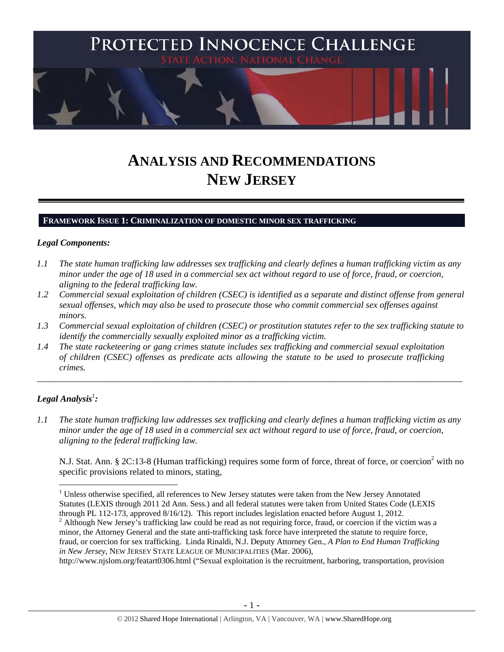

# **ANALYSIS AND RECOMMENDATIONS NEW JERSEY**

#### **FRAMEWORK ISSUE 1: CRIMINALIZATION OF DOMESTIC MINOR SEX TRAFFICKING**

#### *Legal Components:*

- *1.1 The state human trafficking law addresses sex trafficking and clearly defines a human trafficking victim as any minor under the age of 18 used in a commercial sex act without regard to use of force, fraud, or coercion, aligning to the federal trafficking law.*
- *1.2 Commercial sexual exploitation of children (CSEC) is identified as a separate and distinct offense from general sexual offenses, which may also be used to prosecute those who commit commercial sex offenses against minors.*
- *1.3 Commercial sexual exploitation of children (CSEC) or prostitution statutes refer to the sex trafficking statute to identify the commercially sexually exploited minor as a trafficking victim.*

\_\_\_\_\_\_\_\_\_\_\_\_\_\_\_\_\_\_\_\_\_\_\_\_\_\_\_\_\_\_\_\_\_\_\_\_\_\_\_\_\_\_\_\_\_\_\_\_\_\_\_\_\_\_\_\_\_\_\_\_\_\_\_\_\_\_\_\_\_\_\_\_\_\_\_\_\_\_\_\_\_\_\_\_\_\_\_\_\_\_\_\_\_\_

*1.4 The state racketeering or gang crimes statute includes sex trafficking and commercial sexual exploitation of children (CSEC) offenses as predicate acts allowing the statute to be used to prosecute trafficking crimes.* 

# $\bm{\mathit{Legal\, Analysis}^{\text{!}}:}$

 $\overline{a}$ 

*1.1 The state human trafficking law addresses sex trafficking and clearly defines a human trafficking victim as any minor under the age of 18 used in a commercial sex act without regard to use of force, fraud, or coercion, aligning to the federal trafficking law.* 

N.J. Stat. Ann. § 2C:13-8 (Human trafficking) requires some form of force, threat of force, or coercion<sup>2</sup> with no specific provisions related to minors, stating,

<sup>&</sup>lt;sup>1</sup> Unless otherwise specified, all references to New Jersey statutes were taken from the New Jersey Annotated Statutes (LEXIS through 2011 2d Ann. Sess.) and all federal statutes were taken from United States Code (LEXIS through PL 112-173, approved 8/16/12). This report includes legislation enacted before August 1, 2012.

 $2$  Although New Jersey's trafficking law could be read as not requiring force, fraud, or coercion if the victim was a minor, the Attorney General and the state anti-trafficking task force have interpreted the statute to require force, fraud, or coercion for sex trafficking. Linda Rinaldi, N.J. Deputy Attorney Gen., *A Plan to End Human Trafficking in New Jersey*, NEW JERSEY STATE LEAGUE OF MUNICIPALITIES (Mar. 2006),

http://www.njslom.org/featart0306.html ("Sexual exploitation is the recruitment, harboring, transportation, provision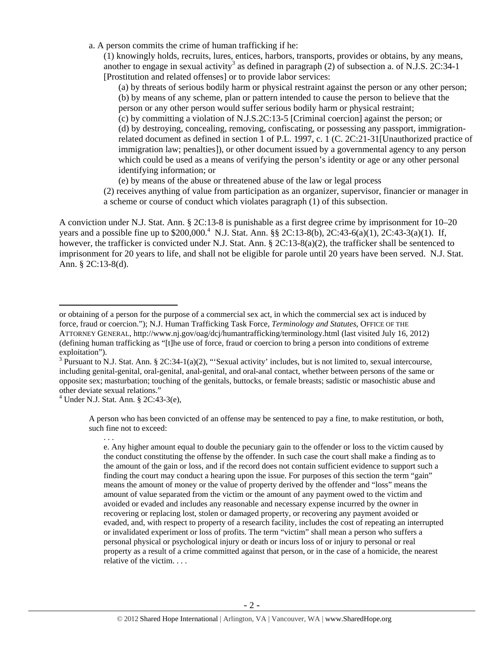a. A person commits the crime of human trafficking if he:

(1) knowingly holds, recruits, lures, entices, harbors, transports, provides or obtains, by any means, another to engage in sexual activity<sup>3</sup> as defined in paragraph  $(2)$  of subsection a. of N.J.S. 2C:34-1 [Prostitution and related offenses] or to provide labor services:

(a) by threats of serious bodily harm or physical restraint against the person or any other person; (b) by means of any scheme, plan or pattern intended to cause the person to believe that the person or any other person would suffer serious bodily harm or physical restraint;

(c) by committing a violation of N.J.S.2C:13-5 [Criminal coercion] against the person; or (d) by destroying, concealing, removing, confiscating, or possessing any passport, immigrationrelated document as defined in section 1 of P.L. 1997, c. 1 (C. 2C:21-31[Unauthorized practice of immigration law; penalties]), or other document issued by a governmental agency to any person which could be used as a means of verifying the person's identity or age or any other personal identifying information; or

(e) by means of the abuse or threatened abuse of the law or legal process

(2) receives anything of value from participation as an organizer, supervisor, financier or manager in a scheme or course of conduct which violates paragraph (1) of this subsection.

A conviction under N.J. Stat. Ann. § 2C:13-8 is punishable as a first degree crime by imprisonment for 10–20 years and a possible fine up to \$200,000.<sup>4</sup> N.J. Stat. Ann. §§ 2C:13-8(b), 2C:43-6(a)(1), 2C:43-3(a)(1). If, however, the trafficker is convicted under N.J. Stat. Ann. § 2C:13-8(a)(2), the trafficker shall be sentenced to imprisonment for 20 years to life, and shall not be eligible for parole until 20 years have been served. N.J. Stat. Ann. § 2C:13-8(d).

. . .

 $\overline{a}$ 

A person who has been convicted of an offense may be sentenced to pay a fine, to make restitution, or both, such fine not to exceed:

e. Any higher amount equal to double the pecuniary gain to the offender or loss to the victim caused by the conduct constituting the offense by the offender. In such case the court shall make a finding as to the amount of the gain or loss, and if the record does not contain sufficient evidence to support such a finding the court may conduct a hearing upon the issue. For purposes of this section the term "gain" means the amount of money or the value of property derived by the offender and "loss" means the amount of value separated from the victim or the amount of any payment owed to the victim and avoided or evaded and includes any reasonable and necessary expense incurred by the owner in recovering or replacing lost, stolen or damaged property, or recovering any payment avoided or evaded, and, with respect to property of a research facility, includes the cost of repeating an interrupted or invalidated experiment or loss of profits. The term "victim" shall mean a person who suffers a personal physical or psychological injury or death or incurs loss of or injury to personal or real property as a result of a crime committed against that person, or in the case of a homicide, the nearest relative of the victim. . . .

or obtaining of a person for the purpose of a commercial sex act, in which the commercial sex act is induced by force, fraud or coercion."); N.J. Human Trafficking Task Force, *Terminology and Statutes*, OFFICE OF THE ATTORNEY GENERAL, http://www.nj.gov/oag/dcj/humantrafficking/terminology.html (last visited July 16, 2012) (defining human trafficking as "[t]he use of force, fraud or coercion to bring a person into conditions of extreme

exploitation").<br><sup>3</sup> Pursuant to N.J. Stat. Ann. § 2C:34-1(a)(2), "'Sexual activity' includes, but is not limited to, sexual intercourse, including genital-genital, oral-genital, anal-genital, and oral-anal contact, whether between persons of the same or opposite sex; masturbation; touching of the genitals, buttocks, or female breasts; sadistic or masochistic abuse and other deviate sexual relations."

<sup>4</sup> Under N.J. Stat. Ann. § 2C:43-3(e),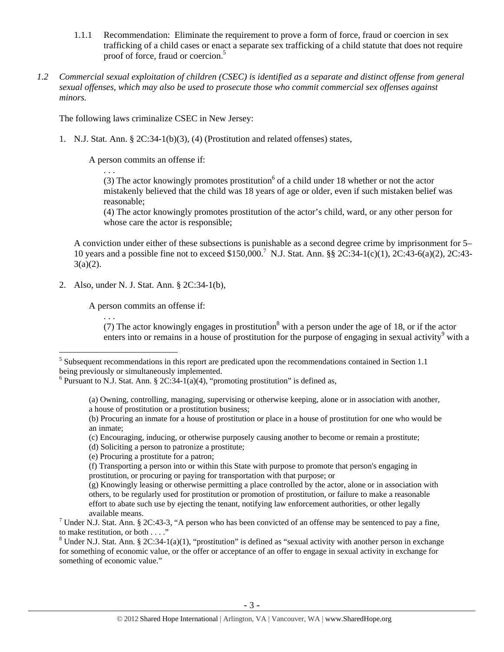- 1.1.1 Recommendation: Eliminate the requirement to prove a form of force, fraud or coercion in sex trafficking of a child cases or enact a separate sex trafficking of a child statute that does not require proof of force, fraud or coercion.<sup>5</sup>
- *1.2 Commercial sexual exploitation of children (CSEC) is identified as a separate and distinct offense from general sexual offenses, which may also be used to prosecute those who commit commercial sex offenses against minors.*

The following laws criminalize CSEC in New Jersey:

1. N.J. Stat. Ann. § 2C:34-1(b)(3), (4) (Prostitution and related offenses) states,

A person commits an offense if:

. . .

. . .

(3) The actor knowingly promotes prostitution<sup>6</sup> of a child under 18 whether or not the actor mistakenly believed that the child was 18 years of age or older, even if such mistaken belief was reasonable;

(4) The actor knowingly promotes prostitution of the actor's child, ward, or any other person for whose care the actor is responsible;

A conviction under either of these subsections is punishable as a second degree crime by imprisonment for 5– 10 years and a possible fine not to exceed \$150,000.7 N.J. Stat. Ann. §§ 2C:34-1(c)(1), 2C:43-6(a)(2), 2C:43-  $3(a)(2)$ .

2. Also, under N. J. Stat. Ann. § 2C:34-1(b),

A person commits an offense if:

(7) The actor knowingly engages in prostitution<sup>8</sup> with a person under the age of 18, or if the actor enters into or remains in a house of prostitution for the purpose of engaging in sexual activity<sup>9</sup> with a

(d) Soliciting a person to patronize a prostitute;

(e) Procuring a prostitute for a patron;

<sup>&</sup>lt;sup>5</sup><br><sup>5</sup> Subsequent recommendations in this report are predicated upon the recommendations contained in Section 1.1 being previously or simultaneously implemented.

<sup>&</sup>lt;sup>6</sup> Pursuant to N.J. Stat. Ann. § 2C:34-1(a)(4), "promoting prostitution" is defined as,

<sup>(</sup>a) Owning, controlling, managing, supervising or otherwise keeping, alone or in association with another, a house of prostitution or a prostitution business;

<sup>(</sup>b) Procuring an inmate for a house of prostitution or place in a house of prostitution for one who would be an inmate;

<sup>(</sup>c) Encouraging, inducing, or otherwise purposely causing another to become or remain a prostitute;

<sup>(</sup>f) Transporting a person into or within this State with purpose to promote that person's engaging in prostitution, or procuring or paying for transportation with that purpose; or

<sup>(</sup>g) Knowingly leasing or otherwise permitting a place controlled by the actor, alone or in association with others, to be regularly used for prostitution or promotion of prostitution, or failure to make a reasonable effort to abate such use by ejecting the tenant, notifying law enforcement authorities, or other legally

available means.<br><sup>7</sup> Under N.J. Stat. Ann. § 2C:43-3, "A person who has been convicted of an offense may be sentenced to pay a fine, to make restitution, or both . . . ."

<sup>&</sup>lt;sup>8</sup> Under N.J. Stat. Ann. § 2C:34-1(a)(1), "prostitution" is defined as "sexual activity with another person in exchange for something of economic value, or the offer or acceptance of an offer to engage in sexual activity in exchange for something of economic value."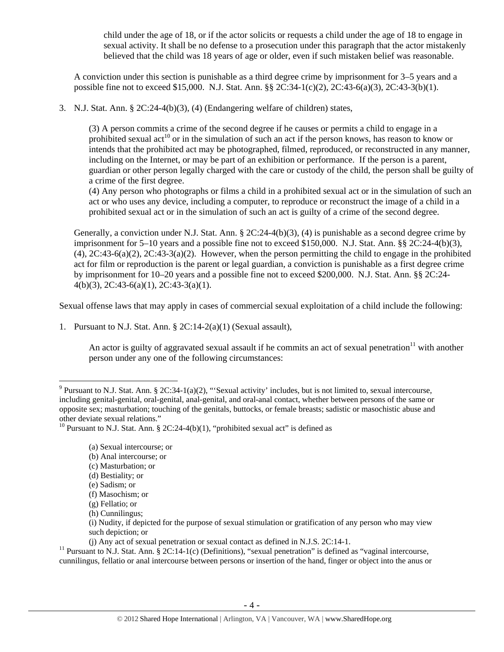child under the age of 18, or if the actor solicits or requests a child under the age of 18 to engage in sexual activity. It shall be no defense to a prosecution under this paragraph that the actor mistakenly believed that the child was 18 years of age or older, even if such mistaken belief was reasonable.

A conviction under this section is punishable as a third degree crime by imprisonment for 3–5 years and a possible fine not to exceed \$15,000. N.J. Stat. Ann. §§ 2C:34-1(c)(2), 2C:43-6(a)(3), 2C:43-3(b)(1).

3. N.J. Stat. Ann. § 2C:24-4(b)(3), (4) (Endangering welfare of children) states,

(3) A person commits a crime of the second degree if he causes or permits a child to engage in a prohibited sexual act<sup>10</sup> or in the simulation of such an act if the person knows, has reason to know or intends that the prohibited act may be photographed, filmed, reproduced, or reconstructed in any manner, including on the Internet, or may be part of an exhibition or performance. If the person is a parent, guardian or other person legally charged with the care or custody of the child, the person shall be guilty of a crime of the first degree.

(4) Any person who photographs or films a child in a prohibited sexual act or in the simulation of such an act or who uses any device, including a computer, to reproduce or reconstruct the image of a child in a prohibited sexual act or in the simulation of such an act is guilty of a crime of the second degree.

Generally, a conviction under N.J. Stat. Ann. § 2C:24-4(b)(3), (4) is punishable as a second degree crime by imprisonment for 5–10 years and a possible fine not to exceed \$150,000. N.J. Stat. Ann. §§ 2C:24-4(b)(3),  $(4)$ ,  $2C:43-6(a)(2)$ ,  $2C:43-3(a)(2)$ . However, when the person permitting the child to engage in the prohibited act for film or reproduction is the parent or legal guardian, a conviction is punishable as a first degree crime by imprisonment for 10–20 years and a possible fine not to exceed \$200,000. N.J. Stat. Ann. §§ 2C:24- 4(b)(3), 2C:43-6(a)(1), 2C:43-3(a)(1).

Sexual offense laws that may apply in cases of commercial sexual exploitation of a child include the following:

1. Pursuant to N.J. Stat. Ann. § 2C:14-2(a)(1) (Sexual assault),

An actor is guilty of aggravated sexual assault if he commits an act of sexual penetration<sup>11</sup> with another person under any one of the following circumstances:

- (c) Masturbation; or
- (d) Bestiality; or

 $\overline{a}$ 

(j) Any act of sexual penetration or sexual contact as defined in N.J.S. 2C:14-1.<br><sup>11</sup> Pursuant to N.J. Stat. Ann. § 2C:14-1(c) (Definitions), "sexual penetration" is defined as "vaginal intercourse, cunnilingus, fellatio or anal intercourse between persons or insertion of the hand, finger or object into the anus or

<sup>&</sup>lt;sup>9</sup> Pursuant to N.J. Stat. Ann. § 2C:34-1(a)(2), "Sexual activity' includes, but is not limited to, sexual intercourse, including genital-genital, oral-genital, anal-genital, and oral-anal contact, whether between persons of the same or opposite sex; masturbation; touching of the genitals, buttocks, or female breasts; sadistic or masochistic abuse and other deviate sexual relations."

<sup>&</sup>lt;sup>10</sup> Pursuant to N.J. Stat. Ann. § 2C:24-4(b)(1), "prohibited sexual act" is defined as

<sup>(</sup>a) Sexual intercourse; or

<sup>(</sup>b) Anal intercourse; or

<sup>(</sup>e) Sadism; or

<sup>(</sup>f) Masochism; or

<sup>(</sup>g) Fellatio; or

<sup>(</sup>h) Cunnilingus;

<sup>(</sup>i) Nudity, if depicted for the purpose of sexual stimulation or gratification of any person who may view such depiction; or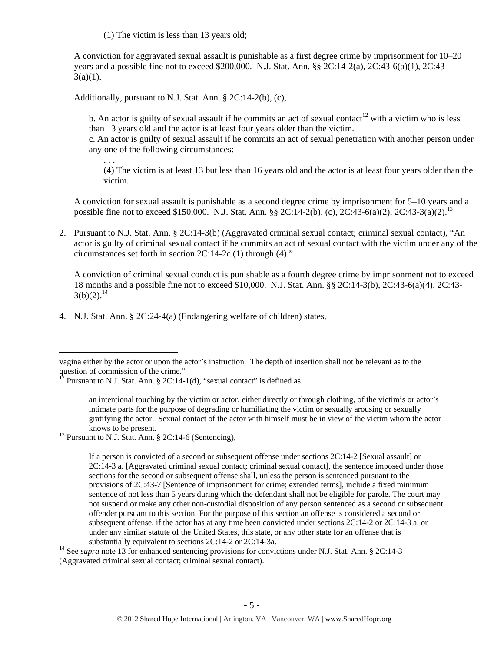(1) The victim is less than 13 years old;

A conviction for aggravated sexual assault is punishable as a first degree crime by imprisonment for 10–20 years and a possible fine not to exceed \$200,000. N.J. Stat. Ann. §§ 2C:14-2(a), 2C:43-6(a)(1), 2C:43-  $3(a)(1)$ .

Additionally, pursuant to N.J. Stat. Ann. § 2C:14-2(b), (c),

. . .

 $\overline{a}$ 

b. An actor is guilty of sexual assault if he commits an act of sexual contact<sup>12</sup> with a victim who is less than 13 years old and the actor is at least four years older than the victim.

c. An actor is guilty of sexual assault if he commits an act of sexual penetration with another person under any one of the following circumstances:

(4) The victim is at least 13 but less than 16 years old and the actor is at least four years older than the victim.

A conviction for sexual assault is punishable as a second degree crime by imprisonment for 5–10 years and a possible fine not to exceed \$150,000. N.J. Stat. Ann. §§ 2C:14-2(b), (c), 2C:43-6(a)(2), 2C:43-3(a)(2).<sup>13</sup>

2. Pursuant to N.J. Stat. Ann. § 2C:14-3(b) (Aggravated criminal sexual contact; criminal sexual contact), "An actor is guilty of criminal sexual contact if he commits an act of sexual contact with the victim under any of the circumstances set forth in section 2C:14-2c.(1) through (4)."

A conviction of criminal sexual conduct is punishable as a fourth degree crime by imprisonment not to exceed 18 months and a possible fine not to exceed \$10,000. N.J. Stat. Ann. §§ 2C:14-3(b), 2C:43-6(a)(4), 2C:43-  $3(b)(2).^{14}$ 

4. N.J. Stat. Ann. § 2C:24-4(a) (Endangering welfare of children) states,

substantially equivalent to sections 2C:14-2 or 2C:14-3a.<br><sup>14</sup> See *supra* note 13 for enhanced sentencing provisions for convictions under N.J. Stat. Ann. § 2C:14-3 (Aggravated criminal sexual contact; criminal sexual contact).

vagina either by the actor or upon the actor's instruction. The depth of insertion shall not be relevant as to the question of commission of the crime."

<sup>&</sup>lt;sup>12</sup> Pursuant to N.J. Stat. Ann. § 2C:14-1(d), "sexual contact" is defined as

an intentional touching by the victim or actor, either directly or through clothing, of the victim's or actor's intimate parts for the purpose of degrading or humiliating the victim or sexually arousing or sexually gratifying the actor. Sexual contact of the actor with himself must be in view of the victim whom the actor

knows to be present.<br><sup>13</sup> Pursuant to N.J. Stat. Ann. § 2C:14-6 (Sentencing),

If a person is convicted of a second or subsequent offense under sections 2C:14-2 [Sexual assault] or 2C:14-3 a. [Aggravated criminal sexual contact; criminal sexual contact], the sentence imposed under those sections for the second or subsequent offense shall, unless the person is sentenced pursuant to the provisions of 2C:43-7 [Sentence of imprisonment for crime; extended terms], include a fixed minimum sentence of not less than 5 years during which the defendant shall not be eligible for parole. The court may not suspend or make any other non-custodial disposition of any person sentenced as a second or subsequent offender pursuant to this section. For the purpose of this section an offense is considered a second or subsequent offense, if the actor has at any time been convicted under sections 2C:14-2 or 2C:14-3 a. or under any similar statute of the United States, this state, or any other state for an offense that is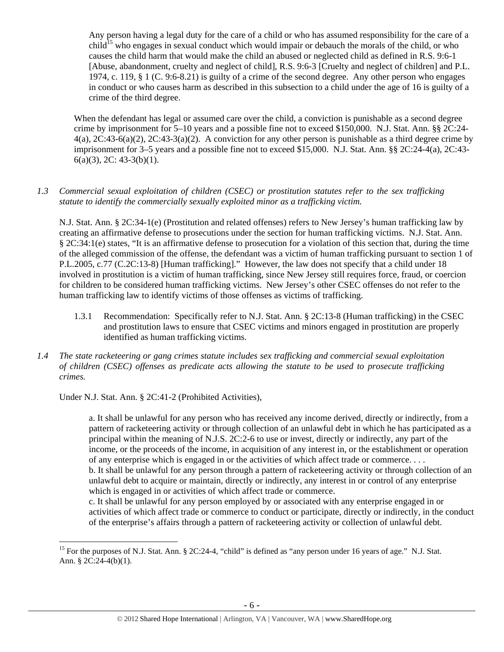Any person having a legal duty for the care of a child or who has assumed responsibility for the care of a  $child<sup>15</sup>$  who engages in sexual conduct which would impair or debauch the morals of the child, or who causes the child harm that would make the child an abused or neglected child as defined in R.S. 9:6-1 [Abuse, abandonment, cruelty and neglect of child], R.S. 9:6-3 [Cruelty and neglect of children] and P.L. 1974, c. 119, § 1 (C. 9:6-8.21) is guilty of a crime of the second degree. Any other person who engages in conduct or who causes harm as described in this subsection to a child under the age of 16 is guilty of a crime of the third degree.

When the defendant has legal or assumed care over the child, a conviction is punishable as a second degree crime by imprisonment for 5–10 years and a possible fine not to exceed \$150,000. N.J. Stat. Ann. §§ 2C:24-  $4(a)$ ,  $2C:43-6(a)(2)$ ,  $2C:43-3(a)(2)$ . A conviction for any other person is punishable as a third degree crime by imprisonment for 3–5 years and a possible fine not to exceed \$15,000. N.J. Stat. Ann. §§ 2C:24-4(a), 2C:43-  $6(a)(3)$ , 2C: 43-3(b)(1).

#### *1.3 Commercial sexual exploitation of children (CSEC) or prostitution statutes refer to the sex trafficking statute to identify the commercially sexually exploited minor as a trafficking victim.*

N.J. Stat. Ann. § 2C:34-1(e) (Prostitution and related offenses) refers to New Jersey's human trafficking law by creating an affirmative defense to prosecutions under the section for human trafficking victims. N.J. Stat. Ann. § 2C:34:1(e) states, "It is an affirmative defense to prosecution for a violation of this section that, during the time of the alleged commission of the offense, the defendant was a victim of human trafficking pursuant to section 1 of P.L.2005, c.77 (C.2C:13-8) [Human trafficking]." However, the law does not specify that a child under 18 involved in prostitution is a victim of human trafficking, since New Jersey still requires force, fraud, or coercion for children to be considered human trafficking victims. New Jersey's other CSEC offenses do not refer to the human trafficking law to identify victims of those offenses as victims of trafficking.

- 1.3.1 Recommendation: Specifically refer to N.J. Stat. Ann. § 2C:13-8 (Human trafficking) in the CSEC and prostitution laws to ensure that CSEC victims and minors engaged in prostitution are properly identified as human trafficking victims.
- *1.4 The state racketeering or gang crimes statute includes sex trafficking and commercial sexual exploitation of children (CSEC) offenses as predicate acts allowing the statute to be used to prosecute trafficking crimes.*

Under N.J. Stat. Ann. § 2C:41-2 (Prohibited Activities),

 $\overline{a}$ 

a. It shall be unlawful for any person who has received any income derived, directly or indirectly, from a pattern of racketeering activity or through collection of an unlawful debt in which he has participated as a principal within the meaning of N.J.S. 2C:2-6 to use or invest, directly or indirectly, any part of the income, or the proceeds of the income, in acquisition of any interest in, or the establishment or operation of any enterprise which is engaged in or the activities of which affect trade or commerce. . . . b. It shall be unlawful for any person through a pattern of racketeering activity or through collection of an unlawful debt to acquire or maintain, directly or indirectly, any interest in or control of any enterprise which is engaged in or activities of which affect trade or commerce.

c. It shall be unlawful for any person employed by or associated with any enterprise engaged in or activities of which affect trade or commerce to conduct or participate, directly or indirectly, in the conduct of the enterprise's affairs through a pattern of racketeering activity or collection of unlawful debt.

<sup>&</sup>lt;sup>15</sup> For the purposes of N.J. Stat. Ann. § 2C:24-4, "child" is defined as "any person under 16 years of age." N.J. Stat. Ann. § 2C:24-4(b)(1).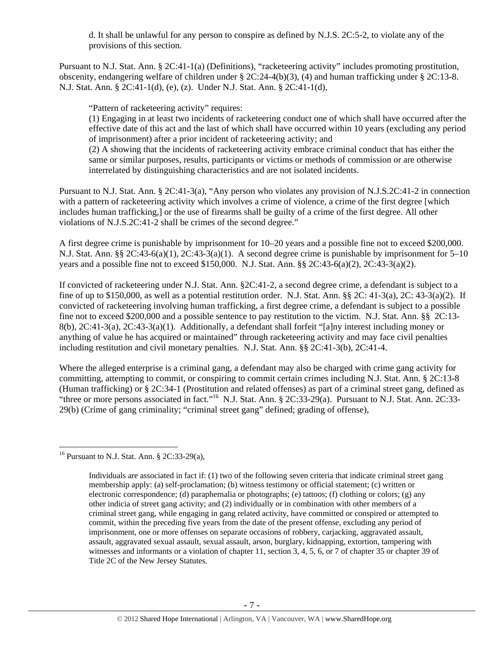d. It shall be unlawful for any person to conspire as defined by N.J.S. 2C:5-2, to violate any of the provisions of this section.

Pursuant to N.J. Stat. Ann. § 2C:41-1(a) (Definitions), "racketeering activity" includes promoting prostitution, obscenity, endangering welfare of children under § 2C:24-4(b)(3), (4) and human trafficking under § 2C:13-8. N.J. Stat. Ann. § 2C:41-1(d), (e), (z). Under N.J. Stat. Ann. § 2C:41-1(d),

"Pattern of racketeering activity" requires:

(1) Engaging in at least two incidents of racketeering conduct one of which shall have occurred after the effective date of this act and the last of which shall have occurred within 10 years (excluding any period of imprisonment) after a prior incident of racketeering activity; and

(2) A showing that the incidents of racketeering activity embrace criminal conduct that has either the same or similar purposes, results, participants or victims or methods of commission or are otherwise interrelated by distinguishing characteristics and are not isolated incidents.

Pursuant to N.J. Stat. Ann. § 2C:41-3(a), "Any person who violates any provision of N.J.S.2C:41-2 in connection with a pattern of racketeering activity which involves a crime of violence, a crime of the first degree [which includes human trafficking,] or the use of firearms shall be guilty of a crime of the first degree. All other violations of N.J.S.2C:41-2 shall be crimes of the second degree."

A first degree crime is punishable by imprisonment for 10–20 years and a possible fine not to exceed \$200,000. N.J. Stat. Ann. §§ 2C:43-6(a)(1), 2C:43-3(a)(1). A second degree crime is punishable by imprisonment for 5–10 years and a possible fine not to exceed \$150,000. N.J. Stat. Ann. §§ 2C:43-6(a)(2), 2C:43-3(a)(2).

If convicted of racketeering under N.J. Stat. Ann. §2C:41-2, a second degree crime, a defendant is subject to a fine of up to \$150,000, as well as a potential restitution order. N.J. Stat. Ann. §§ 2C: 41-3(a), 2C: 43-3(a)(2). If convicted of racketeering involving human trafficking, a first degree crime, a defendant is subject to a possible fine not to exceed \$200,000 and a possible sentence to pay restitution to the victim. N.J. Stat. Ann. §§ 2C:13- 8(b), 2C:41-3(a), 2C:43-3(a)(1). Additionally, a defendant shall forfeit "[a]ny interest including money or anything of value he has acquired or maintained" through racketeering activity and may face civil penalties including restitution and civil monetary penalties. N.J. Stat. Ann. §§ 2C:41-3(b), 2C:41-4.

Where the alleged enterprise is a criminal gang, a defendant may also be charged with crime gang activity for committing, attempting to commit, or conspiring to commit certain crimes including N.J. Stat. Ann. § 2C:13-8 (Human trafficking) or § 2C:34-1 (Prostitution and related offenses) as part of a criminal street gang, defined as "three or more persons associated in fact."<sup>16</sup> N.J. Stat. Ann. § 2C:33-29(a). Pursuant to N.J. Stat. Ann. 2C:33-29(b) (Crime of gang criminality; "criminal street gang" defined; grading of offense),

 $\overline{a}$ <sup>16</sup> Pursuant to N.J. Stat. Ann. § 2C:33-29(a),

Individuals are associated in fact if: (1) two of the following seven criteria that indicate criminal street gang membership apply: (a) self-proclamation; (b) witness testimony or official statement; (c) written or electronic correspondence; (d) paraphernalia or photographs; (e) tattoos; (f) clothing or colors; (g) any other indicia of street gang activity; and (2) individually or in combination with other members of a criminal street gang, while engaging in gang related activity, have committed or conspired or attempted to commit, within the preceding five years from the date of the present offense, excluding any period of imprisonment, one or more offenses on separate occasions of robbery, carjacking, aggravated assault, assault, aggravated sexual assault, sexual assault, arson, burglary, kidnapping, extortion, tampering with witnesses and informants or a violation of chapter 11, section 3, 4, 5, 6, or 7 of chapter 35 or chapter 39 of Title 2C of the New Jersey Statutes.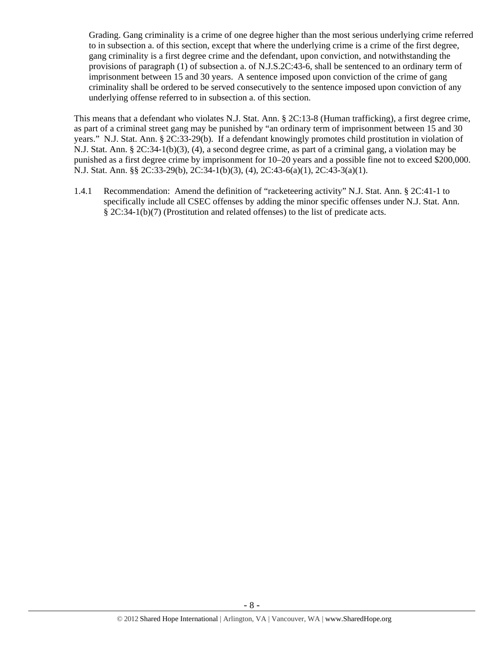Grading. Gang criminality is a crime of one degree higher than the most serious underlying crime referred to in subsection a. of this section, except that where the underlying crime is a crime of the first degree, gang criminality is a first degree crime and the defendant, upon conviction, and notwithstanding the provisions of paragraph (1) of subsection a. of N.J.S.2C:43-6, shall be sentenced to an ordinary term of imprisonment between 15 and 30 years. A sentence imposed upon conviction of the crime of gang criminality shall be ordered to be served consecutively to the sentence imposed upon conviction of any underlying offense referred to in subsection a. of this section.

This means that a defendant who violates N.J. Stat. Ann. § 2C:13-8 (Human trafficking), a first degree crime, as part of a criminal street gang may be punished by "an ordinary term of imprisonment between 15 and 30 years." N.J. Stat. Ann. § 2C:33-29(b). If a defendant knowingly promotes child prostitution in violation of N.J. Stat. Ann. § 2C:34-1(b)(3), (4), a second degree crime, as part of a criminal gang, a violation may be punished as a first degree crime by imprisonment for 10–20 years and a possible fine not to exceed \$200,000. N.J. Stat. Ann. §§ 2C:33-29(b), 2C:34-1(b)(3), (4), 2C:43-6(a)(1), 2C:43-3(a)(1).

1.4.1 Recommendation: Amend the definition of "racketeering activity" N.J. Stat. Ann. § 2C:41-1 to specifically include all CSEC offenses by adding the minor specific offenses under N.J. Stat. Ann. § 2C:34-1(b)(7) (Prostitution and related offenses) to the list of predicate acts.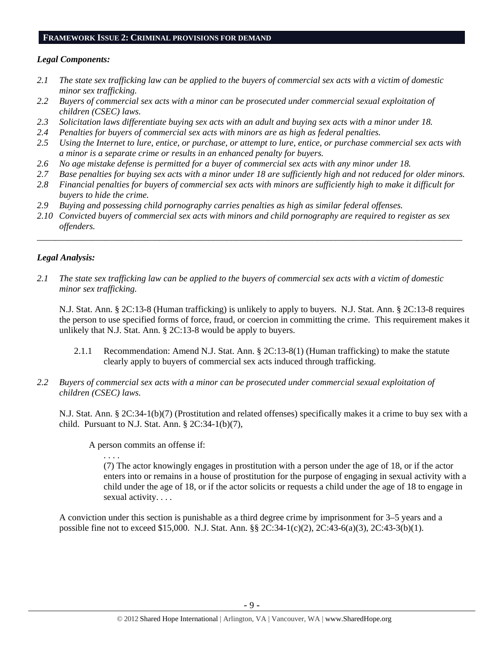#### **FRAMEWORK ISSUE 2: CRIMINAL PROVISIONS FOR DEMAND**

#### *Legal Components:*

- *2.1 The state sex trafficking law can be applied to the buyers of commercial sex acts with a victim of domestic minor sex trafficking.*
- *2.2 Buyers of commercial sex acts with a minor can be prosecuted under commercial sexual exploitation of children (CSEC) laws.*
- *2.3 Solicitation laws differentiate buying sex acts with an adult and buying sex acts with a minor under 18.*
- *2.4 Penalties for buyers of commercial sex acts with minors are as high as federal penalties.*
- *2.5 Using the Internet to lure, entice, or purchase, or attempt to lure, entice, or purchase commercial sex acts with a minor is a separate crime or results in an enhanced penalty for buyers.*
- *2.6 No age mistake defense is permitted for a buyer of commercial sex acts with any minor under 18.*
- *2.7 Base penalties for buying sex acts with a minor under 18 are sufficiently high and not reduced for older minors.*
- *2.8 Financial penalties for buyers of commercial sex acts with minors are sufficiently high to make it difficult for buyers to hide the crime.*

\_\_\_\_\_\_\_\_\_\_\_\_\_\_\_\_\_\_\_\_\_\_\_\_\_\_\_\_\_\_\_\_\_\_\_\_\_\_\_\_\_\_\_\_\_\_\_\_\_\_\_\_\_\_\_\_\_\_\_\_\_\_\_\_\_\_\_\_\_\_\_\_\_\_\_\_\_\_\_\_\_\_\_\_\_\_\_\_\_\_\_\_\_\_

- *2.9 Buying and possessing child pornography carries penalties as high as similar federal offenses.*
- *2.10 Convicted buyers of commercial sex acts with minors and child pornography are required to register as sex offenders.*

#### *Legal Analysis:*

*2.1 The state sex trafficking law can be applied to the buyers of commercial sex acts with a victim of domestic minor sex trafficking.* 

N.J. Stat. Ann. § 2C:13-8 (Human trafficking) is unlikely to apply to buyers. N.J. Stat. Ann. § 2C:13-8 requires the person to use specified forms of force, fraud, or coercion in committing the crime. This requirement makes it unlikely that N.J. Stat. Ann. § 2C:13-8 would be apply to buyers.

- 2.1.1 Recommendation: Amend N.J. Stat. Ann. § 2C:13-8(1) (Human trafficking) to make the statute clearly apply to buyers of commercial sex acts induced through trafficking.
- *2.2 Buyers of commercial sex acts with a minor can be prosecuted under commercial sexual exploitation of children (CSEC) laws.*

N.J. Stat. Ann. § 2C:34-1(b)(7) (Prostitution and related offenses) specifically makes it a crime to buy sex with a child. Pursuant to N.J. Stat. Ann.  $\S 2C:34-1(b)(7)$ ,

A person commits an offense if:

. . . .

(7) The actor knowingly engages in prostitution with a person under the age of 18, or if the actor enters into or remains in a house of prostitution for the purpose of engaging in sexual activity with a child under the age of 18, or if the actor solicits or requests a child under the age of 18 to engage in sexual activity. . . .

A conviction under this section is punishable as a third degree crime by imprisonment for 3–5 years and a possible fine not to exceed \$15,000. N.J. Stat. Ann. §§ 2C:34-1(c)(2), 2C:43-6(a)(3), 2C:43-3(b)(1).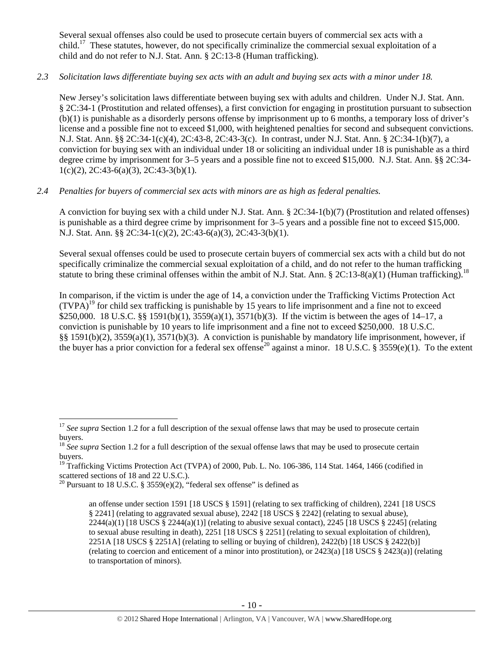Several sexual offenses also could be used to prosecute certain buyers of commercial sex acts with a  $child<sup>17</sup>$  These statutes, however, do not specifically criminalize the commercial sexual exploitation of a child and do not refer to N.J. Stat. Ann. § 2C:13-8 (Human trafficking).

# *2.3 Solicitation laws differentiate buying sex acts with an adult and buying sex acts with a minor under 18.*

New Jersey's solicitation laws differentiate between buying sex with adults and children. Under N.J. Stat. Ann. § 2C:34-1 (Prostitution and related offenses), a first conviction for engaging in prostitution pursuant to subsection (b)(1) is punishable as a disorderly persons offense by imprisonment up to 6 months, a temporary loss of driver's license and a possible fine not to exceed \$1,000, with heightened penalties for second and subsequent convictions. N.J. Stat. Ann. §§ 2C:34-1(c)(4), 2C:43-8, 2C:43-3(c). In contrast, under N.J. Stat. Ann. § 2C:34-1(b)(7), a conviction for buying sex with an individual under 18 or soliciting an individual under 18 is punishable as a third degree crime by imprisonment for 3–5 years and a possible fine not to exceed \$15,000. N.J. Stat. Ann. §§ 2C:34-  $1(c)(2)$ ,  $2C:43-6(a)(3)$ ,  $2C:43-3(b)(1)$ .

# *2.4 Penalties for buyers of commercial sex acts with minors are as high as federal penalties.*

A conviction for buying sex with a child under N.J. Stat. Ann. § 2C:34-1(b)(7) (Prostitution and related offenses) is punishable as a third degree crime by imprisonment for 3–5 years and a possible fine not to exceed \$15,000. N.J. Stat. Ann. §§ 2C:34-1(c)(2), 2C:43-6(a)(3), 2C:43-3(b)(1).

Several sexual offenses could be used to prosecute certain buyers of commercial sex acts with a child but do not specifically criminalize the commercial sexual exploitation of a child, and do not refer to the human trafficking statute to bring these criminal offenses within the ambit of N.J. Stat. Ann. § 2C:13-8(a)(1) (Human trafficking).<sup>18</sup>

In comparison, if the victim is under the age of 14, a conviction under the Trafficking Victims Protection Act  $(TVPA)^{19}$  for child sex trafficking is punishable by 15 years to life imprisonment and a fine not to exceed \$250,000. 18 U.S.C. §§ 1591(b)(1), 3559(a)(1), 3571(b)(3). If the victim is between the ages of 14–17, a conviction is punishable by 10 years to life imprisonment and a fine not to exceed \$250,000. 18 U.S.C. §§ 1591(b)(2), 3559(a)(1), 3571(b)(3). A conviction is punishable by mandatory life imprisonment, however, if the buyer has a prior conviction for a federal sex offense<sup>20</sup> against a minor. 18 U.S.C. § 3559(e)(1). To the extent

 $\overline{a}$ 

<sup>&</sup>lt;sup>17</sup> See supra Section 1.2 for a full description of the sexual offense laws that may be used to prosecute certain buyers.

<sup>&</sup>lt;sup>18</sup> See supra Section 1.2 for a full description of the sexual offense laws that may be used to prosecute certain buyers.

<sup>&</sup>lt;sup>19</sup> Trafficking Victims Protection Act (TVPA) of 2000, Pub. L. No. 106-386, 114 Stat. 1464, 1466 (codified in scattered sections of 18 and 22 U.S.C.).

<sup>&</sup>lt;sup>20</sup> Pursuant to 18 U.S.C. § 3559(e)(2), "federal sex offense" is defined as

an offense under section 1591 [18 USCS § 1591] (relating to sex trafficking of children), 2241 [18 USCS § 2241] (relating to aggravated sexual abuse), 2242 [18 USCS § 2242] (relating to sexual abuse),  $2244(a)(1)$  [18 USCS §  $2244(a)(1)$ ] (relating to abusive sexual contact),  $2245$  [18 USCS § 2245] (relating to sexual abuse resulting in death), 2251 [18 USCS § 2251] (relating to sexual exploitation of children), 2251A [18 USCS § 2251A] (relating to selling or buying of children), 2422(b) [18 USCS § 2422(b)] (relating to coercion and enticement of a minor into prostitution), or 2423(a) [18 USCS § 2423(a)] (relating to transportation of minors).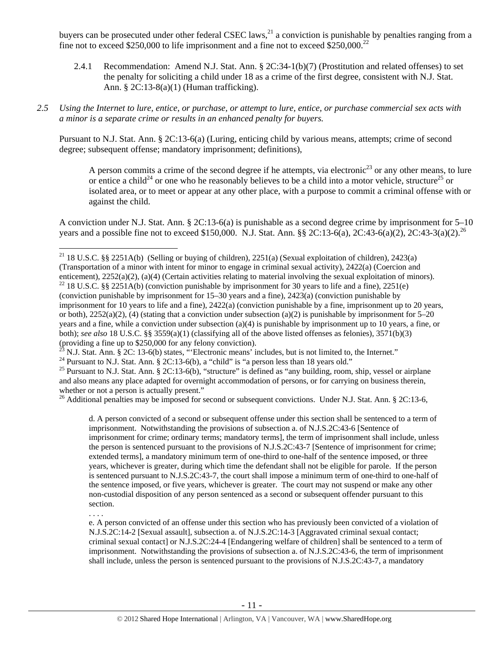buyers can be prosecuted under other federal CSEC laws,<sup>21</sup> a conviction is punishable by penalties ranging from a fine not to exceed \$250,000 to life imprisonment and a fine not to exceed  $$250,000.<sup>22</sup>$ 

- 2.4.1 Recommendation: Amend N.J. Stat. Ann. § 2C:34-1(b)(7) (Prostitution and related offenses) to set the penalty for soliciting a child under 18 as a crime of the first degree, consistent with N.J. Stat. Ann. § 2C:13-8(a)(1) (Human trafficking).
- *2.5 Using the Internet to lure, entice, or purchase, or attempt to lure, entice, or purchase commercial sex acts with a minor is a separate crime or results in an enhanced penalty for buyers.*

Pursuant to N.J. Stat. Ann. § 2C:13-6(a) (Luring, enticing child by various means, attempts; crime of second degree; subsequent offense; mandatory imprisonment; definitions),

A person commits a crime of the second degree if he attempts, via electronic<sup>23</sup> or any other means, to lure or entice a child<sup>24</sup> or one who he reasonably believes to be a child into a motor vehicle, structure<sup>25</sup> or isolated area, or to meet or appear at any other place, with a purpose to commit a criminal offense with or against the child.

A conviction under N.J. Stat. Ann. § 2C:13-6(a) is punishable as a second degree crime by imprisonment for 5–10 years and a possible fine not to exceed \$150,000. N.J. Stat. Ann. §§ 2C:13-6(a), 2C:43-6(a)(2), 2C:43-3(a)(2).<sup>26</sup>

<sup>24</sup> Pursuant to N.J. Stat. Ann. § 2C: 13-6(b), a "child" is "a person less than 18 years old."

 $\overline{a}$ 

. . . .

<sup>25</sup> Pursuant to N.J. Stat. Ann. § 2C:13-6(b), "structure" is defined as "any building, room, ship, vessel or airplane and also means any place adapted for overnight accommodation of persons, or for carrying on business therein, whether or not a person is actually present."

<sup>26</sup> Additional penalties may be imposed for second or subsequent convictions. Under N.J. Stat. Ann. § 2C:13-6,

d. A person convicted of a second or subsequent offense under this section shall be sentenced to a term of imprisonment. Notwithstanding the provisions of subsection a. of N.J.S.2C:43-6 [Sentence of imprisonment for crime; ordinary terms; mandatory terms], the term of imprisonment shall include, unless the person is sentenced pursuant to the provisions of N.J.S.2C:43-7 [Sentence of imprisonment for crime; extended terms], a mandatory minimum term of one-third to one-half of the sentence imposed, or three years, whichever is greater, during which time the defendant shall not be eligible for parole. If the person is sentenced pursuant to N.J.S.2C:43-7, the court shall impose a minimum term of one-third to one-half of the sentence imposed, or five years, whichever is greater. The court may not suspend or make any other non-custodial disposition of any person sentenced as a second or subsequent offender pursuant to this section.

e. A person convicted of an offense under this section who has previously been convicted of a violation of N.J.S.2C:14-2 [Sexual assault], subsection a. of N.J.S.2C:14-3 [Aggravated criminal sexual contact; criminal sexual contact] or N.J.S.2C:24-4 [Endangering welfare of children] shall be sentenced to a term of imprisonment. Notwithstanding the provisions of subsection a. of N.J.S.2C:43-6, the term of imprisonment shall include, unless the person is sentenced pursuant to the provisions of N.J.S.2C:43-7, a mandatory

<sup>&</sup>lt;sup>21</sup> 18 U.S.C. §§ 2251A(b) (Selling or buying of children), 2251(a) (Sexual exploitation of children), 2423(a) (Transportation of a minor with intent for minor to engage in criminal sexual activity),  $2422(a)$  (Coercion and enticement),  $2252(a)(2)$ ,  $(a)(4)$  (Certain activities relating to material involving the sexual exploitation of

<sup>&</sup>lt;sup>22</sup> 18 U.S.C. §§ 2251A(b) (conviction punishable by imprisonment for 30 years to life and a fine), 2251(e) (conviction punishable by imprisonment for 15–30 years and a fine), 2423(a) (conviction punishable by imprisonment for 10 years to life and a fine), 2422(a) (conviction punishable by a fine, imprisonment up to 20 years, or both),  $2252(a)(2)$ , (4) (stating that a conviction under subsection (a)(2) is punishable by imprisonment for 5–20 years and a fine, while a conviction under subsection (a)(4) is punishable by imprisonment up to 10 years, a fine, or both); *see also* 18 U.S.C. §§ 3559(a)(1) (classifying all of the above listed offenses as felonies), 3571(b)(3) (providing a fine up to \$250,000 for any felony conviction).<br><sup>23</sup> N.J. Stat. Ann. § 2C: 13-6(b) states, "'Electronic means' includes, but is not limited to, the Internet."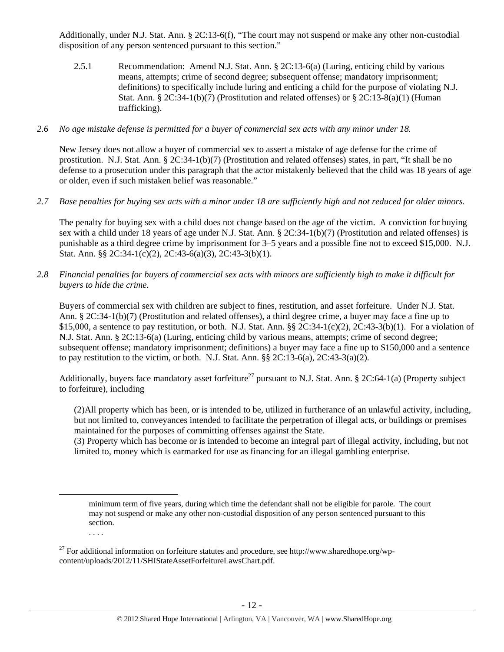Additionally, under N.J. Stat. Ann. § 2C:13-6(f), "The court may not suspend or make any other non-custodial disposition of any person sentenced pursuant to this section."

- 2.5.1 Recommendation: Amend N.J. Stat. Ann. § 2C:13-6(a) (Luring, enticing child by various means, attempts; crime of second degree; subsequent offense; mandatory imprisonment; definitions) to specifically include luring and enticing a child for the purpose of violating N.J. Stat. Ann. § 2C:34-1(b)(7) (Prostitution and related offenses) or § 2C:13-8(a)(1) (Human trafficking).
- *2.6 No age mistake defense is permitted for a buyer of commercial sex acts with any minor under 18.*

New Jersey does not allow a buyer of commercial sex to assert a mistake of age defense for the crime of prostitution. N.J. Stat. Ann. § 2C:34-1(b)(7) (Prostitution and related offenses) states, in part, "It shall be no defense to a prosecution under this paragraph that the actor mistakenly believed that the child was 18 years of age or older, even if such mistaken belief was reasonable."

*2.7 Base penalties for buying sex acts with a minor under 18 are sufficiently high and not reduced for older minors.* 

The penalty for buying sex with a child does not change based on the age of the victim. A conviction for buying sex with a child under 18 years of age under N.J. Stat. Ann. § 2C:34-1(b)(7) (Prostitution and related offenses) is punishable as a third degree crime by imprisonment for 3–5 years and a possible fine not to exceed \$15,000. N.J. Stat. Ann. §§ 2C:34-1(c)(2), 2C:43-6(a)(3), 2C:43-3(b)(1).

*2.8 Financial penalties for buyers of commercial sex acts with minors are sufficiently high to make it difficult for buyers to hide the crime.* 

Buyers of commercial sex with children are subject to fines, restitution, and asset forfeiture. Under N.J. Stat. Ann. § 2C:34-1(b)(7) (Prostitution and related offenses), a third degree crime, a buyer may face a fine up to \$15,000, a sentence to pay restitution, or both. N.J. Stat. Ann.  $\S$  2C:34-1(c)(2), 2C:43-3(b)(1). For a violation of N.J. Stat. Ann. § 2C:13-6(a) (Luring, enticing child by various means, attempts; crime of second degree; subsequent offense; mandatory imprisonment; definitions) a buyer may face a fine up to \$150,000 and a sentence to pay restitution to the victim, or both. N.J. Stat. Ann.  $\S § 2C:13-6(a), 2C:43-3(a)(2)$ .

Additionally, buyers face mandatory asset forfeiture<sup>27</sup> pursuant to N.J. Stat. Ann. § 2C:64-1(a) (Property subject to forfeiture), including

(2)All property which has been, or is intended to be, utilized in furtherance of an unlawful activity, including, but not limited to, conveyances intended to facilitate the perpetration of illegal acts, or buildings or premises maintained for the purposes of committing offenses against the State.

(3) Property which has become or is intended to become an integral part of illegal activity, including, but not limited to, money which is earmarked for use as financing for an illegal gambling enterprise.

minimum term of five years, during which time the defendant shall not be eligible for parole. The court may not suspend or make any other non-custodial disposition of any person sentenced pursuant to this section.

<sup>&</sup>lt;sup>27</sup> For additional information on forfeiture statutes and procedure, see http://www.sharedhope.org/wpcontent/uploads/2012/11/SHIStateAssetForfeitureLawsChart.pdf.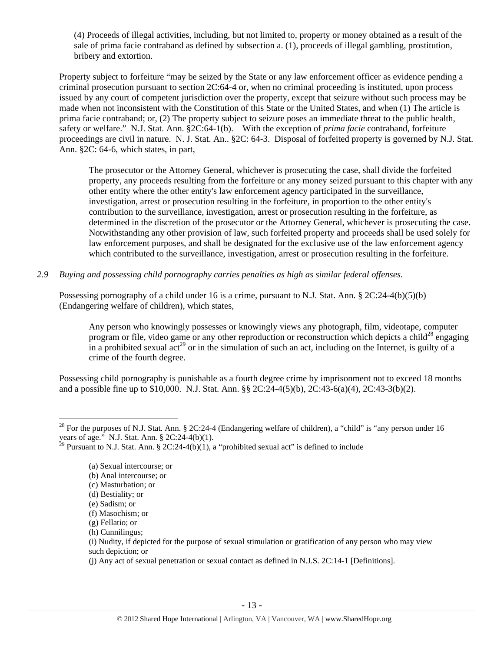(4) Proceeds of illegal activities, including, but not limited to, property or money obtained as a result of the sale of prima facie contraband as defined by subsection a. (1), proceeds of illegal gambling, prostitution, bribery and extortion.

Property subject to forfeiture "may be seized by the State or any law enforcement officer as evidence pending a criminal prosecution pursuant to section 2C:64-4 or, when no criminal proceeding is instituted, upon process issued by any court of competent jurisdiction over the property, except that seizure without such process may be made when not inconsistent with the Constitution of this State or the United States, and when (1) The article is prima facie contraband; or, (2) The property subject to seizure poses an immediate threat to the public health, safety or welfare." N.J. Stat. Ann. §2C:64-1(b). With the exception of *prima facie* contraband, forfeiture proceedings are civil in nature. N. J. Stat. An.. §2C: 64-3. Disposal of forfeited property is governed by N.J. Stat. Ann. §2C: 64-6, which states, in part,

The prosecutor or the Attorney General, whichever is prosecuting the case, shall divide the forfeited property, any proceeds resulting from the forfeiture or any money seized pursuant to this chapter with any other entity where the other entity's law enforcement agency participated in the surveillance, investigation, arrest or prosecution resulting in the forfeiture, in proportion to the other entity's contribution to the surveillance, investigation, arrest or prosecution resulting in the forfeiture, as determined in the discretion of the prosecutor or the Attorney General, whichever is prosecuting the case. Notwithstanding any other provision of law, such forfeited property and proceeds shall be used solely for law enforcement purposes, and shall be designated for the exclusive use of the law enforcement agency which contributed to the surveillance, investigation, arrest or prosecution resulting in the forfeiture.

*2.9 Buying and possessing child pornography carries penalties as high as similar federal offenses.* 

Possessing pornography of a child under 16 is a crime, pursuant to N.J. Stat. Ann. § 2C:24-4(b)(5)(b) (Endangering welfare of children), which states,

Any person who knowingly possesses or knowingly views any photograph, film, videotape, computer program or file, video game or any other reproduction or reconstruction which depicts a child<sup>28</sup> engaging in a prohibited sexual  $\text{act}^{29}$  or in the simulation of such an act, including on the Internet, is guilty of a crime of the fourth degree.

Possessing child pornography is punishable as a fourth degree crime by imprisonment not to exceed 18 months and a possible fine up to \$10,000. N.J. Stat. Ann. §§ 2C:24-4(5)(b), 2C:43-6(a)(4), 2C:43-3(b)(2).

 $\overline{a}$ 

<sup>&</sup>lt;sup>28</sup> For the purposes of N.J. Stat. Ann. § 2C:24-4 (Endangering welfare of children), a "child" is "any person under 16 years of age." N.J. Stat. Ann. § 2C:24-4(b)(1).

<sup>&</sup>lt;sup>29</sup> Pursuant to N.J. Stat. Ann. § 2C:24-4(b)(1), a "prohibited sexual act" is defined to include

<sup>(</sup>a) Sexual intercourse; or

<sup>(</sup>b) Anal intercourse; or

<sup>(</sup>c) Masturbation; or

<sup>(</sup>d) Bestiality; or

<sup>(</sup>e) Sadism; or

<sup>(</sup>f) Masochism; or

<sup>(</sup>g) Fellatio; or

<sup>(</sup>h) Cunnilingus;

<sup>(</sup>i) Nudity, if depicted for the purpose of sexual stimulation or gratification of any person who may view such depiction; or

<sup>(</sup>j) Any act of sexual penetration or sexual contact as defined in N.J.S. 2C:14-1 [Definitions].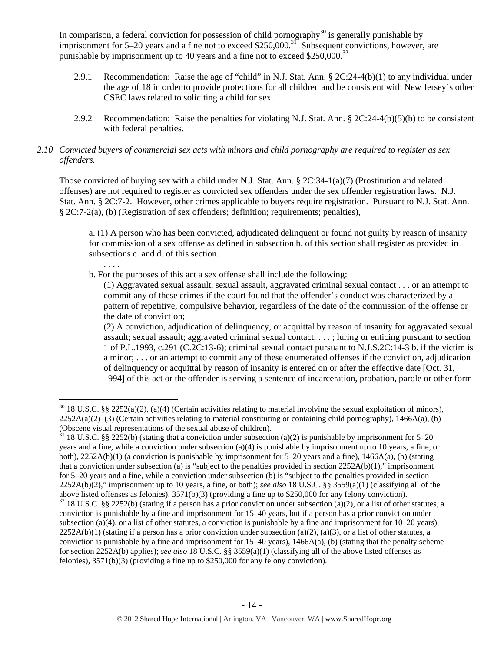In comparison, a federal conviction for possession of child pornography $30$  is generally punishable by imprisonment for 5–20 years and a fine not to exceed \$250,000.<sup>31</sup> Subsequent convictions, however, are punishable by imprisonment up to 40 years and a fine not to exceed  $$250,000.<sup>32</sup>$ 

- 2.9.1 Recommendation: Raise the age of "child" in N.J. Stat. Ann. § 2C:24-4(b)(1) to any individual under the age of 18 in order to provide protections for all children and be consistent with New Jersey's other CSEC laws related to soliciting a child for sex.
- 2.9.2 Recommendation: Raise the penalties for violating N.J. Stat. Ann. § 2C:24-4(b)(5)(b) to be consistent with federal penalties.

## *2.10 Convicted buyers of commercial sex acts with minors and child pornography are required to register as sex offenders.*

Those convicted of buying sex with a child under N.J. Stat. Ann. § 2C:34-1(a)(7) (Prostitution and related offenses) are not required to register as convicted sex offenders under the sex offender registration laws. N.J. Stat. Ann. § 2C:7-2. However, other crimes applicable to buyers require registration. Pursuant to N.J. Stat. Ann. § 2C:7-2(a), (b) (Registration of sex offenders; definition; requirements; penalties),

a. (1) A person who has been convicted, adjudicated delinquent or found not guilty by reason of insanity for commission of a sex offense as defined in subsection b. of this section shall register as provided in subsections c. and d. of this section.

b. For the purposes of this act a sex offense shall include the following:

. . . .

 $\overline{a}$ 

(1) Aggravated sexual assault, sexual assault, aggravated criminal sexual contact . . . or an attempt to commit any of these crimes if the court found that the offender's conduct was characterized by a pattern of repetitive, compulsive behavior, regardless of the date of the commission of the offense or the date of conviction;

(2) A conviction, adjudication of delinquency, or acquittal by reason of insanity for aggravated sexual assault; sexual assault; aggravated criminal sexual contact; . . . ; luring or enticing pursuant to section 1 of P.L.1993, c.291 (C.2C:13-6); criminal sexual contact pursuant to N.J.S.2C:14-3 b. if the victim is a minor; . . . or an attempt to commit any of these enumerated offenses if the conviction, adjudication of delinquency or acquittal by reason of insanity is entered on or after the effective date [Oct. 31, 1994] of this act or the offender is serving a sentence of incarceration, probation, parole or other form

 $30\,$  18 U.S.C. §§ 2252(a)(2), (a)(4) (Certain activities relating to material involving the sexual exploitation of minors),  $2252A(a)(2)$ –(3) (Certain activities relating to material constituting or containing child pornography), 1466A(a), (b) (Obscene visual representations of the sexual abuse of children).

 $31$  18 U.S.C. §§ 2252(b) (stating that a conviction under subsection (a)(2) is punishable by imprisonment for 5–20 years and a fine, while a conviction under subsection (a)(4) is punishable by imprisonment up to 10 years, a fine, or both), 2252A(b)(1) (a conviction is punishable by imprisonment for 5–20 years and a fine), 1466A(a), (b) (stating that a conviction under subsection (a) is "subject to the penalties provided in section  $2252A(b)(1)$ ," imprisonment for 5–20 years and a fine, while a conviction under subsection (b) is "subject to the penalties provided in section 2252A(b)(2)," imprisonment up to 10 years, a fine, or both); *see also* 18 U.S.C. §§ 3559(a)(1) (classifying all of the above listed offenses as felonies), 3571(b)(3) (providing a fine up to \$250,000 for any felony conviction).

 $32$  18 U.S.C. §§ 2252(b) (stating if a person has a prior conviction under subsection (a)(2), or a list of other statutes, a conviction is punishable by a fine and imprisonment for 15–40 years, but if a person has a prior conviction under subsection (a)(4), or a list of other statutes, a conviction is punishable by a fine and imprisonment for  $10-20$  years),  $2252A(b)(1)$  (stating if a person has a prior conviction under subsection (a)(2), (a)(3), or a list of other statutes, a conviction is punishable by a fine and imprisonment for  $15-40$  years),  $1466A(a)$ , (b) (stating that the penalty scheme for section 2252A(b) applies); *see also* 18 U.S.C. §§ 3559(a)(1) (classifying all of the above listed offenses as felonies), 3571(b)(3) (providing a fine up to \$250,000 for any felony conviction).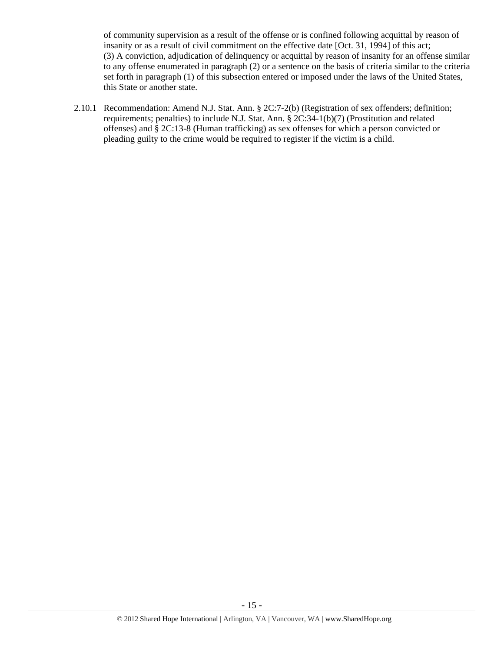of community supervision as a result of the offense or is confined following acquittal by reason of insanity or as a result of civil commitment on the effective date [Oct. 31, 1994] of this act; (3) A conviction, adjudication of delinquency or acquittal by reason of insanity for an offense similar to any offense enumerated in paragraph (2) or a sentence on the basis of criteria similar to the criteria set forth in paragraph (1) of this subsection entered or imposed under the laws of the United States, this State or another state.

2.10.1 Recommendation: Amend N.J. Stat. Ann. § 2C:7-2(b) (Registration of sex offenders; definition; requirements; penalties) to include N.J. Stat. Ann. § 2C:34-1(b)(7) (Prostitution and related offenses) and § 2C:13-8 (Human trafficking) as sex offenses for which a person convicted or pleading guilty to the crime would be required to register if the victim is a child.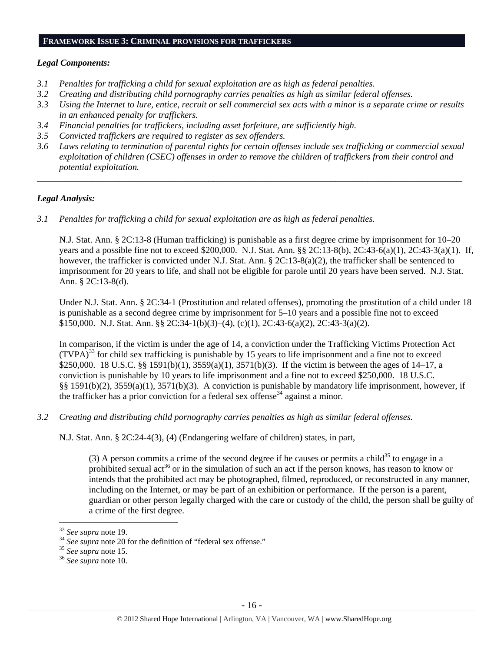# **FRAMEWORK ISSUE 3: CRIMINAL PROVISIONS FOR TRAFFICKERS**

#### *Legal Components:*

- *3.1 Penalties for trafficking a child for sexual exploitation are as high as federal penalties.*
- *3.2 Creating and distributing child pornography carries penalties as high as similar federal offenses.*
- *3.3 Using the Internet to lure, entice, recruit or sell commercial sex acts with a minor is a separate crime or results in an enhanced penalty for traffickers.*
- *3.4 Financial penalties for traffickers, including asset forfeiture, are sufficiently high.*
- *3.5 Convicted traffickers are required to register as sex offenders.*
- *3.6 Laws relating to termination of parental rights for certain offenses include sex trafficking or commercial sexual exploitation of children (CSEC) offenses in order to remove the children of traffickers from their control and potential exploitation.*

*\_\_\_\_\_\_\_\_\_\_\_\_\_\_\_\_\_\_\_\_\_\_\_\_\_\_\_\_\_\_\_\_\_\_\_\_\_\_\_\_\_\_\_\_\_\_\_\_\_\_\_\_\_\_\_\_\_\_\_\_\_\_\_\_\_\_\_\_\_\_\_\_\_\_\_\_\_\_\_\_\_\_\_\_\_\_\_\_\_\_\_\_\_\_* 

# *Legal Analysis:*

*3.1 Penalties for trafficking a child for sexual exploitation are as high as federal penalties.* 

N.J. Stat. Ann. § 2C:13-8 (Human trafficking) is punishable as a first degree crime by imprisonment for 10–20 years and a possible fine not to exceed \$200,000. N.J. Stat. Ann. §§ 2C:13-8(b), 2C:43-6(a)(1), 2C:43-3(a)(1). If, however, the trafficker is convicted under N.J. Stat. Ann. § 2C:13-8(a)(2), the trafficker shall be sentenced to imprisonment for 20 years to life, and shall not be eligible for parole until 20 years have been served. N.J. Stat. Ann. § 2C:13-8(d).

Under N.J. Stat. Ann. § 2C:34-1 (Prostitution and related offenses), promoting the prostitution of a child under 18 is punishable as a second degree crime by imprisonment for 5–10 years and a possible fine not to exceed \$150,000. N.J. Stat. Ann. §§ 2C:34-1(b)(3)–(4), (c)(1), 2C:43-6(a)(2), 2C:43-3(a)(2).

In comparison, if the victim is under the age of 14, a conviction under the Trafficking Victims Protection Act  $(TVPA)^{33}$  for child sex trafficking is punishable by 15 years to life imprisonment and a fine not to exceed \$250,000. 18 U.S.C. §§ 1591(b)(1), 3559(a)(1), 3571(b)(3). If the victim is between the ages of 14–17, a conviction is punishable by 10 years to life imprisonment and a fine not to exceed \$250,000. 18 U.S.C. §§ 1591(b)(2), 3559(a)(1), 3571(b)(3). A conviction is punishable by mandatory life imprisonment, however, if the trafficker has a prior conviction for a federal sex offense<sup>34</sup> against a minor.

*3.2 Creating and distributing child pornography carries penalties as high as similar federal offenses.* 

N.J. Stat. Ann. § 2C:24-4(3), (4) (Endangering welfare of children) states, in part,

(3) A person commits a crime of the second degree if he causes or permits a child<sup>35</sup> to engage in a prohibited sexual act<sup>36</sup> or in the simulation of such an act if the person knows, has reason to know or intends that the prohibited act may be photographed, filmed, reproduced, or reconstructed in any manner, including on the Internet, or may be part of an exhibition or performance. If the person is a parent, guardian or other person legally charged with the care or custody of the child, the person shall be guilty of a crime of the first degree.

<sup>&</sup>lt;sup>33</sup> See supra note 19.

<sup>&</sup>lt;sup>34</sup> *See supra* note 20 for the definition of "federal sex offense."<br><sup>35</sup> *See supra* note 15. <sup>36</sup> *See supra* note 10.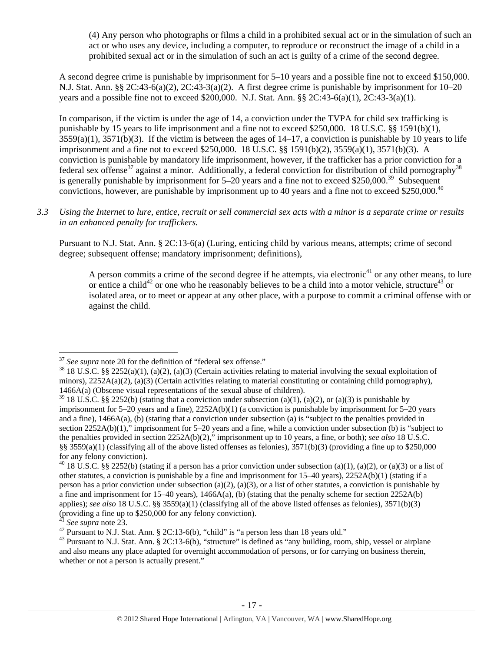(4) Any person who photographs or films a child in a prohibited sexual act or in the simulation of such an act or who uses any device, including a computer, to reproduce or reconstruct the image of a child in a prohibited sexual act or in the simulation of such an act is guilty of a crime of the second degree.

A second degree crime is punishable by imprisonment for 5–10 years and a possible fine not to exceed \$150,000. N.J. Stat. Ann. §§ 2C:43-6(a)(2), 2C:43-3(a)(2). A first degree crime is punishable by imprisonment for 10–20 years and a possible fine not to exceed \$200,000. N.J. Stat. Ann. §§ 2C:43-6(a)(1), 2C:43-3(a)(1).

In comparison, if the victim is under the age of 14, a conviction under the TVPA for child sex trafficking is punishable by 15 years to life imprisonment and a fine not to exceed \$250,000. 18 U.S.C. §§ 1591(b)(1),  $3559(a)(1)$ ,  $3571(b)(3)$ . If the victim is between the ages of  $14-17$ , a conviction is punishable by 10 years to life imprisonment and a fine not to exceed \$250,000. 18 U.S.C. §§ 1591(b)(2), 3559(a)(1), 3571(b)(3). A conviction is punishable by mandatory life imprisonment, however, if the trafficker has a prior conviction for a federal sex offense<sup>37</sup> against a minor. Additionally, a federal conviction for distribution of child pornography<sup>38</sup> is generally punishable by imprisonment for  $5-20$  years and a fine not to exceed \$250,000.<sup>39</sup> Subsequent convictions, however, are punishable by imprisonment up to 40 years and a fine not to exceed \$250,000.40

*3.3 Using the Internet to lure, entice, recruit or sell commercial sex acts with a minor is a separate crime or results in an enhanced penalty for traffickers.* 

Pursuant to N.J. Stat. Ann. § 2C:13-6(a) (Luring, enticing child by various means, attempts; crime of second degree; subsequent offense; mandatory imprisonment; definitions),

A person commits a crime of the second degree if he attempts, via electronic<sup>41</sup> or any other means, to lure or entice a child<sup>42</sup> or one who he reasonably believes to be a child into a motor vehicle, structure<sup>43</sup> or isolated area, or to meet or appear at any other place, with a purpose to commit a criminal offense with or against the child.

 $37$  See supra note 20 for the definition of "federal sex offense."

<sup>&</sup>lt;sup>38</sup> 18 U.S.C. §§ 2252(a)(1), (a)(2), (a)(3) (Certain activities relating to material involving the sexual exploitation of minors),  $2252A(a)(2)$ ,  $(a)(3)$  (Certain activities relating to material constituting or containing child pornography), 1466A(a) (Obscene visual representations of the sexual abuse of children).

<sup>&</sup>lt;sup>39</sup> 18 U.S.C. §§ 2252(b) (stating that a conviction under subsection (a)(1), (a)(2), or (a)(3) is punishable by imprisonment for 5–20 years and a fine), 2252A(b)(1) (a conviction is punishable by imprisonment for 5–20 years and a fine), 1466A(a), (b) (stating that a conviction under subsection (a) is "subject to the penalties provided in section 2252A(b)(1)," imprisonment for 5–20 years and a fine, while a conviction under subsection (b) is "subject to the penalties provided in section 2252A(b)(2)," imprisonment up to 10 years, a fine, or both); *see also* 18 U.S.C. §§ 3559(a)(1) (classifying all of the above listed offenses as felonies),  $3571(b)(3)$  (providing a fine up to \$250,000 for any felony conviction).

<sup>&</sup>lt;sup>40</sup> 18 U.S.C. §§ 2252(b) (stating if a person has a prior conviction under subsection (a)(1), (a)(2), or (a)(3) or a list of other statutes, a conviction is punishable by a fine and imprisonment for 15–40 years), 2252A(b)(1) (stating if a person has a prior conviction under subsection (a)(2), (a)(3), or a list of other statutes, a conviction is punishable by a fine and imprisonment for  $15-40$  years),  $1466A(a)$ , (b) (stating that the penalty scheme for section  $2252A(b)$ applies); *see also* 18 U.S.C. §§ 3559(a)(1) (classifying all of the above listed offenses as felonies), 3571(b)(3) (providing a fine up to \$250,000 for any felony conviction).

<sup>&</sup>lt;sup>41</sup> *See supra* note 23.<br><sup>42</sup> Pursuant to N.J. Stat. Ann. § 2C:13-6(b), "child" is "a person less than 18 years old."

<sup>&</sup>lt;sup>43</sup> Pursuant to N.J. Stat. Ann. § 2C:13-6(b), "structure" is defined as "any building, room, ship, vessel or airplane and also means any place adapted for overnight accommodation of persons, or for carrying on business therein, whether or not a person is actually present."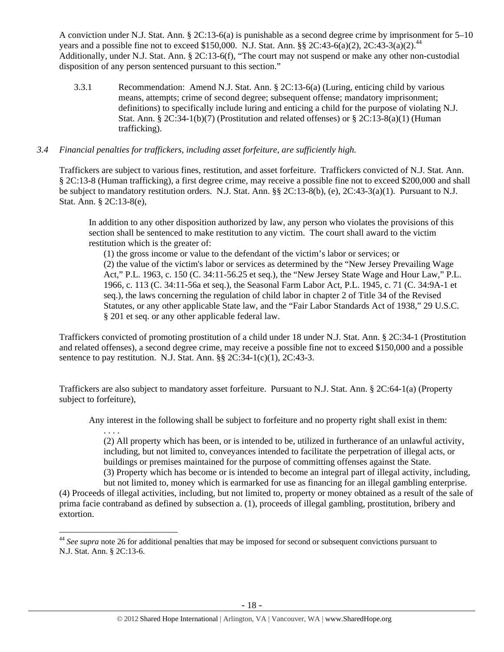A conviction under N.J. Stat. Ann. § 2C:13-6(a) is punishable as a second degree crime by imprisonment for 5–10 years and a possible fine not to exceed \$150,000. N.J. Stat. Ann. §§ 2C:43-6(a)(2), 2C:43-3(a)(2).<sup>44</sup> Additionally, under N.J. Stat. Ann. § 2C:13-6(f), "The court may not suspend or make any other non-custodial disposition of any person sentenced pursuant to this section."

3.3.1 Recommendation: Amend N.J. Stat. Ann. § 2C:13-6(a) (Luring, enticing child by various means, attempts; crime of second degree; subsequent offense; mandatory imprisonment; definitions) to specifically include luring and enticing a child for the purpose of violating N.J. Stat. Ann. § 2C:34-1(b)(7) (Prostitution and related offenses) or § 2C:13-8(a)(1) (Human trafficking).

## *3.4 Financial penalties for traffickers, including asset forfeiture, are sufficiently high.*

. . . .

 $\overline{a}$ 

Traffickers are subject to various fines, restitution, and asset forfeiture. Traffickers convicted of N.J. Stat. Ann. § 2C:13-8 (Human trafficking), a first degree crime, may receive a possible fine not to exceed \$200,000 and shall be subject to mandatory restitution orders. N.J. Stat. Ann. §§ 2C:13-8(b), (e), 2C:43-3(a)(1). Pursuant to N.J. Stat. Ann. § 2C:13-8(e),

In addition to any other disposition authorized by law, any person who violates the provisions of this section shall be sentenced to make restitution to any victim. The court shall award to the victim restitution which is the greater of:

(1) the gross income or value to the defendant of the victim's labor or services; or (2) the value of the victim's labor or services as determined by the "New Jersey Prevailing Wage Act," P.L. 1963, c. 150 (C. 34:11-56.25 et seq.), the "New Jersey State Wage and Hour Law," P.L. 1966, c. 113 (C. 34:11-56a et seq.), the Seasonal Farm Labor Act, P.L. 1945, c. 71 (C. 34:9A-1 et seq.), the laws concerning the regulation of child labor in chapter 2 of Title 34 of the Revised Statutes, or any other applicable State law, and the "Fair Labor Standards Act of 1938," 29 U.S.C. § 201 et seq. or any other applicable federal law.

Traffickers convicted of promoting prostitution of a child under 18 under N.J. Stat. Ann. § 2C:34-1 (Prostitution and related offenses), a second degree crime, may receive a possible fine not to exceed \$150,000 and a possible sentence to pay restitution. N.J. Stat. Ann. §§ 2C:34-1(c)(1), 2C:43-3.

Traffickers are also subject to mandatory asset forfeiture. Pursuant to N.J. Stat. Ann. § 2C:64-1(a) (Property subject to forfeiture),

Any interest in the following shall be subject to forfeiture and no property right shall exist in them:

(2) All property which has been, or is intended to be, utilized in furtherance of an unlawful activity, including, but not limited to, conveyances intended to facilitate the perpetration of illegal acts, or buildings or premises maintained for the purpose of committing offenses against the State. (3) Property which has become or is intended to become an integral part of illegal activity, including,

but not limited to, money which is earmarked for use as financing for an illegal gambling enterprise. (4) Proceeds of illegal activities, including, but not limited to, property or money obtained as a result of the sale of prima facie contraband as defined by subsection a. (1), proceeds of illegal gambling, prostitution, bribery and extortion.

<sup>44</sup> *See supra* note 26 for additional penalties that may be imposed for second or subsequent convictions pursuant to N.J. Stat. Ann. § 2C:13-6.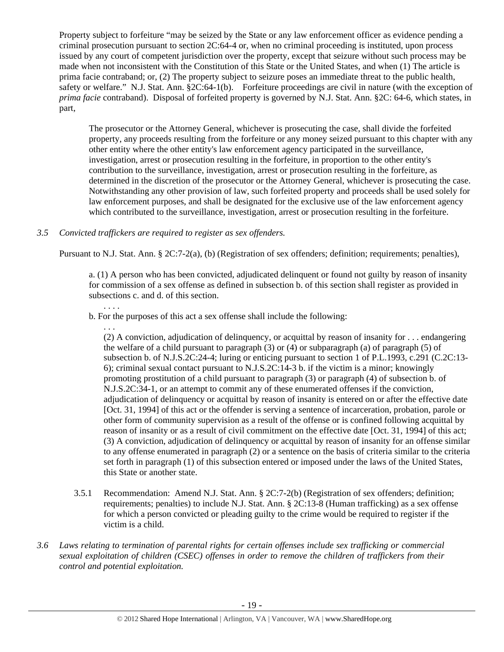Property subject to forfeiture "may be seized by the State or any law enforcement officer as evidence pending a criminal prosecution pursuant to section 2C:64-4 or, when no criminal proceeding is instituted, upon process issued by any court of competent jurisdiction over the property, except that seizure without such process may be made when not inconsistent with the Constitution of this State or the United States, and when (1) The article is prima facie contraband; or, (2) The property subject to seizure poses an immediate threat to the public health, safety or welfare." N.J. Stat. Ann. §2C:64-1(b). Forfeiture proceedings are civil in nature (with the exception of *prima facie* contraband). Disposal of forfeited property is governed by N.J. Stat. Ann. §2C: 64-6, which states, in part,

The prosecutor or the Attorney General, whichever is prosecuting the case, shall divide the forfeited property, any proceeds resulting from the forfeiture or any money seized pursuant to this chapter with any other entity where the other entity's law enforcement agency participated in the surveillance, investigation, arrest or prosecution resulting in the forfeiture, in proportion to the other entity's contribution to the surveillance, investigation, arrest or prosecution resulting in the forfeiture, as determined in the discretion of the prosecutor or the Attorney General, whichever is prosecuting the case. Notwithstanding any other provision of law, such forfeited property and proceeds shall be used solely for law enforcement purposes, and shall be designated for the exclusive use of the law enforcement agency which contributed to the surveillance, investigation, arrest or prosecution resulting in the forfeiture.

# *3.5 Convicted traffickers are required to register as sex offenders.*

Pursuant to N.J. Stat. Ann. § 2C:7-2(a), (b) (Registration of sex offenders; definition; requirements; penalties),

a. (1) A person who has been convicted, adjudicated delinquent or found not guilty by reason of insanity for commission of a sex offense as defined in subsection b. of this section shall register as provided in subsections c. and d. of this section.

b. For the purposes of this act a sex offense shall include the following:

. . .

. . . .

(2) A conviction, adjudication of delinquency, or acquittal by reason of insanity for . . . endangering the welfare of a child pursuant to paragraph (3) or (4) or subparagraph (a) of paragraph (5) of subsection b. of N.J.S.2C:24-4; luring or enticing pursuant to section 1 of P.L.1993, c.291 (C.2C:13- 6); criminal sexual contact pursuant to N.J.S.2C:14-3 b. if the victim is a minor; knowingly promoting prostitution of a child pursuant to paragraph (3) or paragraph (4) of subsection b. of N.J.S.2C:34-1, or an attempt to commit any of these enumerated offenses if the conviction, adjudication of delinquency or acquittal by reason of insanity is entered on or after the effective date [Oct. 31, 1994] of this act or the offender is serving a sentence of incarceration, probation, parole or other form of community supervision as a result of the offense or is confined following acquittal by reason of insanity or as a result of civil commitment on the effective date [Oct. 31, 1994] of this act; (3) A conviction, adjudication of delinquency or acquittal by reason of insanity for an offense similar to any offense enumerated in paragraph (2) or a sentence on the basis of criteria similar to the criteria set forth in paragraph (1) of this subsection entered or imposed under the laws of the United States, this State or another state.

- 3.5.1 Recommendation: Amend N.J. Stat. Ann. § 2C:7-2(b) (Registration of sex offenders; definition; requirements; penalties) to include N.J. Stat. Ann. § 2C:13-8 (Human trafficking) as a sex offense for which a person convicted or pleading guilty to the crime would be required to register if the victim is a child.
- *3.6 Laws relating to termination of parental rights for certain offenses include sex trafficking or commercial sexual exploitation of children (CSEC) offenses in order to remove the children of traffickers from their control and potential exploitation.*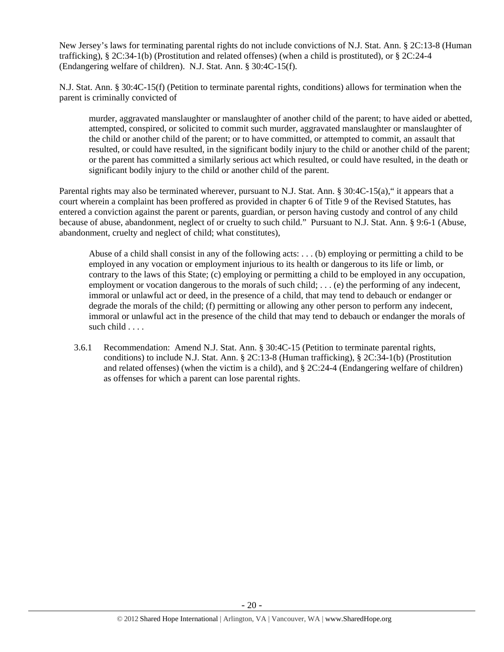New Jersey's laws for terminating parental rights do not include convictions of N.J. Stat. Ann. § 2C:13-8 (Human trafficking), § 2C:34-1(b) (Prostitution and related offenses) (when a child is prostituted), or § 2C:24-4 (Endangering welfare of children). N.J. Stat. Ann. § 30:4C-15(f).

N.J. Stat. Ann. § 30:4C-15(f) (Petition to terminate parental rights, conditions) allows for termination when the parent is criminally convicted of

murder, aggravated manslaughter or manslaughter of another child of the parent; to have aided or abetted, attempted, conspired, or solicited to commit such murder, aggravated manslaughter or manslaughter of the child or another child of the parent; or to have committed, or attempted to commit, an assault that resulted, or could have resulted, in the significant bodily injury to the child or another child of the parent; or the parent has committed a similarly serious act which resulted, or could have resulted, in the death or significant bodily injury to the child or another child of the parent.

Parental rights may also be terminated wherever, pursuant to N.J. Stat. Ann. § 30:4C-15(a)," it appears that a court wherein a complaint has been proffered as provided in chapter 6 of Title 9 of the Revised Statutes, has entered a conviction against the parent or parents, guardian, or person having custody and control of any child because of abuse, abandonment, neglect of or cruelty to such child." Pursuant to N.J. Stat. Ann. § 9:6-1 (Abuse, abandonment, cruelty and neglect of child; what constitutes),

Abuse of a child shall consist in any of the following acts: . . . (b) employing or permitting a child to be employed in any vocation or employment injurious to its health or dangerous to its life or limb, or contrary to the laws of this State; (c) employing or permitting a child to be employed in any occupation, employment or vocation dangerous to the morals of such child; ... (e) the performing of any indecent, immoral or unlawful act or deed, in the presence of a child, that may tend to debauch or endanger or degrade the morals of the child; (f) permitting or allowing any other person to perform any indecent, immoral or unlawful act in the presence of the child that may tend to debauch or endanger the morals of such child . . . .

3.6.1 Recommendation: Amend N.J. Stat. Ann. § 30:4C-15 (Petition to terminate parental rights, conditions) to include N.J. Stat. Ann. § 2C:13-8 (Human trafficking), § 2C:34-1(b) (Prostitution and related offenses) (when the victim is a child), and  $\S 2C:24-4$  (Endangering welfare of children) as offenses for which a parent can lose parental rights.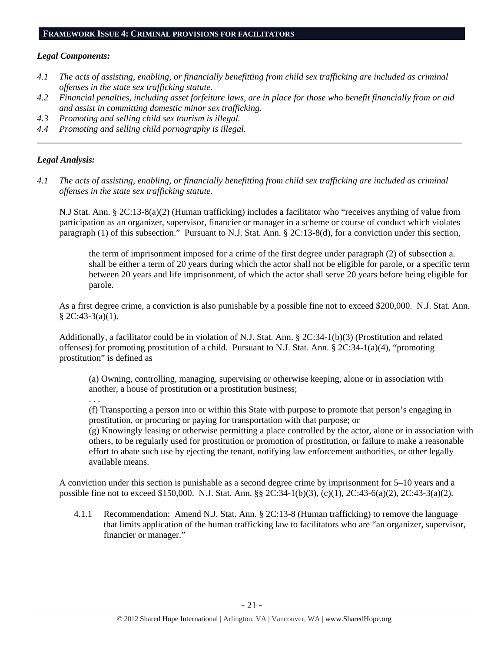#### **FRAMEWORK ISSUE 4: CRIMINAL PROVISIONS FOR FACILITATORS**

#### *Legal Components:*

- *4.1 The acts of assisting, enabling, or financially benefitting from child sex trafficking are included as criminal offenses in the state sex trafficking statute.*
- *4.2 Financial penalties, including asset forfeiture laws, are in place for those who benefit financially from or aid and assist in committing domestic minor sex trafficking.*

*\_\_\_\_\_\_\_\_\_\_\_\_\_\_\_\_\_\_\_\_\_\_\_\_\_\_\_\_\_\_\_\_\_\_\_\_\_\_\_\_\_\_\_\_\_\_\_\_\_\_\_\_\_\_\_\_\_\_\_\_\_\_\_\_\_\_\_\_\_\_\_\_\_\_\_\_\_\_\_\_\_\_\_\_\_\_\_\_\_\_\_\_\_\_* 

- *4.3 Promoting and selling child sex tourism is illegal.*
- *4.4 Promoting and selling child pornography is illegal.*

# *Legal Analysis:*

*4.1 The acts of assisting, enabling, or financially benefitting from child sex trafficking are included as criminal offenses in the state sex trafficking statute.* 

N.J Stat. Ann. § 2C:13-8(a)(2) (Human trafficking) includes a facilitator who "receives anything of value from participation as an organizer, supervisor, financier or manager in a scheme or course of conduct which violates paragraph (1) of this subsection." Pursuant to N.J. Stat. Ann. § 2C:13-8(d), for a conviction under this section,

the term of imprisonment imposed for a crime of the first degree under paragraph (2) of subsection a. shall be either a term of 20 years during which the actor shall not be eligible for parole, or a specific term between 20 years and life imprisonment, of which the actor shall serve 20 years before being eligible for parole.

As a first degree crime, a conviction is also punishable by a possible fine not to exceed \$200,000. N.J. Stat. Ann.  $§ 2C:43-3(a)(1).$ 

Additionally, a facilitator could be in violation of N.J. Stat. Ann. § 2C:34-1(b)(3) (Prostitution and related offenses) for promoting prostitution of a child. Pursuant to N.J. Stat. Ann.  $\S 2C:34-1(a)(4)$ , "promoting prostitution" is defined as

(a) Owning, controlling, managing, supervising or otherwise keeping, alone or in association with another, a house of prostitution or a prostitution business;

. . .

(f) Transporting a person into or within this State with purpose to promote that person's engaging in prostitution, or procuring or paying for transportation with that purpose; or

(g) Knowingly leasing or otherwise permitting a place controlled by the actor, alone or in association with others, to be regularly used for prostitution or promotion of prostitution, or failure to make a reasonable effort to abate such use by ejecting the tenant, notifying law enforcement authorities, or other legally available means.

A conviction under this section is punishable as a second degree crime by imprisonment for 5–10 years and a possible fine not to exceed \$150,000. N.J. Stat. Ann. §§ 2C:34-1(b)(3), (c)(1), 2C:43-6(a)(2), 2C:43-3(a)(2).

4.1.1 Recommendation: Amend N.J. Stat. Ann. § 2C:13-8 (Human trafficking) to remove the language that limits application of the human trafficking law to facilitators who are "an organizer, supervisor, financier or manager."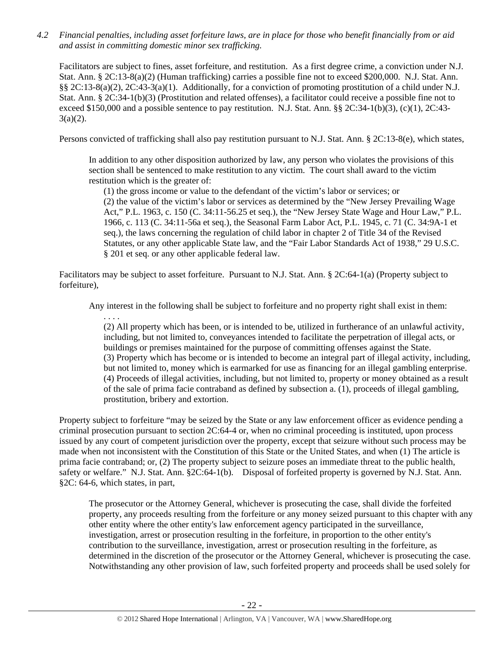*4.2 Financial penalties, including asset forfeiture laws, are in place for those who benefit financially from or aid and assist in committing domestic minor sex trafficking.* 

Facilitators are subject to fines, asset forfeiture, and restitution. As a first degree crime, a conviction under N.J. Stat. Ann. § 2C:13-8(a)(2) (Human trafficking) carries a possible fine not to exceed \$200,000. N.J. Stat. Ann. §§ 2C:13-8(a)(2), 2C:43-3(a)(1). Additionally, for a conviction of promoting prostitution of a child under N.J. Stat. Ann. § 2C:34-1(b)(3) (Prostitution and related offenses), a facilitator could receive a possible fine not to exceed \$150,000 and a possible sentence to pay restitution. N.J. Stat. Ann. §§ 2C:34-1(b)(3), (c)(1), 2C:43-  $3(a)(2)$ .

Persons convicted of trafficking shall also pay restitution pursuant to N.J. Stat. Ann. § 2C:13-8(e), which states,

In addition to any other disposition authorized by law, any person who violates the provisions of this section shall be sentenced to make restitution to any victim. The court shall award to the victim restitution which is the greater of:

(1) the gross income or value to the defendant of the victim's labor or services; or (2) the value of the victim's labor or services as determined by the "New Jersey Prevailing Wage Act," P.L. 1963, c. 150 (C. 34:11-56.25 et seq.), the "New Jersey State Wage and Hour Law," P.L. 1966, c. 113 (C. 34:11-56a et seq.), the Seasonal Farm Labor Act, P.L. 1945, c. 71 (C. 34:9A-1 et seq.), the laws concerning the regulation of child labor in chapter 2 of Title 34 of the Revised Statutes, or any other applicable State law, and the "Fair Labor Standards Act of 1938," 29 U.S.C. § 201 et seq. or any other applicable federal law.

Facilitators may be subject to asset forfeiture. Pursuant to N.J. Stat. Ann. § 2C:64-1(a) (Property subject to forfeiture),

. . . .

Any interest in the following shall be subject to forfeiture and no property right shall exist in them:

(2) All property which has been, or is intended to be, utilized in furtherance of an unlawful activity, including, but not limited to, conveyances intended to facilitate the perpetration of illegal acts, or buildings or premises maintained for the purpose of committing offenses against the State. (3) Property which has become or is intended to become an integral part of illegal activity, including, but not limited to, money which is earmarked for use as financing for an illegal gambling enterprise. (4) Proceeds of illegal activities, including, but not limited to, property or money obtained as a result of the sale of prima facie contraband as defined by subsection a. (1), proceeds of illegal gambling, prostitution, bribery and extortion.

Property subject to forfeiture "may be seized by the State or any law enforcement officer as evidence pending a criminal prosecution pursuant to section 2C:64-4 or, when no criminal proceeding is instituted, upon process issued by any court of competent jurisdiction over the property, except that seizure without such process may be made when not inconsistent with the Constitution of this State or the United States, and when (1) The article is prima facie contraband; or, (2) The property subject to seizure poses an immediate threat to the public health, safety or welfare." N.J. Stat. Ann. §2C:64-1(b). Disposal of forfeited property is governed by N.J. Stat. Ann. §2C: 64-6, which states, in part,

The prosecutor or the Attorney General, whichever is prosecuting the case, shall divide the forfeited property, any proceeds resulting from the forfeiture or any money seized pursuant to this chapter with any other entity where the other entity's law enforcement agency participated in the surveillance, investigation, arrest or prosecution resulting in the forfeiture, in proportion to the other entity's contribution to the surveillance, investigation, arrest or prosecution resulting in the forfeiture, as determined in the discretion of the prosecutor or the Attorney General, whichever is prosecuting the case. Notwithstanding any other provision of law, such forfeited property and proceeds shall be used solely for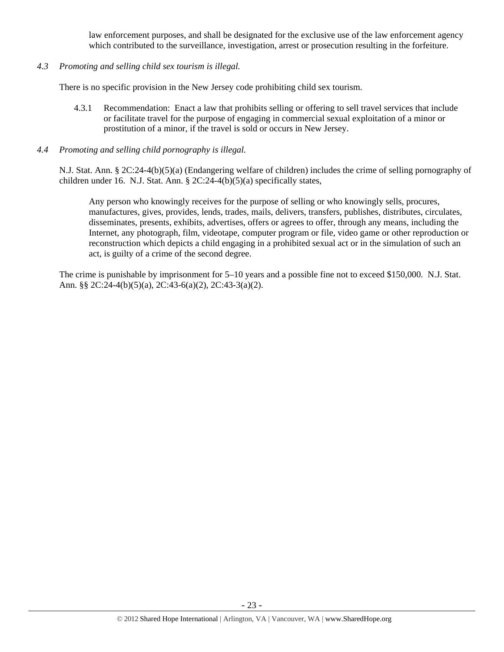law enforcement purposes, and shall be designated for the exclusive use of the law enforcement agency which contributed to the surveillance, investigation, arrest or prosecution resulting in the forfeiture.

*4.3 Promoting and selling child sex tourism is illegal.* 

There is no specific provision in the New Jersey code prohibiting child sex tourism.

- 4.3.1 Recommendation: Enact a law that prohibits selling or offering to sell travel services that include or facilitate travel for the purpose of engaging in commercial sexual exploitation of a minor or prostitution of a minor, if the travel is sold or occurs in New Jersey.
- *4.4 Promoting and selling child pornography is illegal.*

N.J. Stat. Ann. § 2C:24-4(b)(5)(a) (Endangering welfare of children) includes the crime of selling pornography of children under 16. N.J. Stat. Ann. § 2C:24-4(b)(5)(a) specifically states,

Any person who knowingly receives for the purpose of selling or who knowingly sells, procures, manufactures, gives, provides, lends, trades, mails, delivers, transfers, publishes, distributes, circulates, disseminates, presents, exhibits, advertises, offers or agrees to offer, through any means, including the Internet, any photograph, film, videotape, computer program or file, video game or other reproduction or reconstruction which depicts a child engaging in a prohibited sexual act or in the simulation of such an act, is guilty of a crime of the second degree.

The crime is punishable by imprisonment for 5–10 years and a possible fine not to exceed \$150,000. N.J. Stat. Ann. §§ 2C:24-4(b)(5)(a), 2C:43-6(a)(2), 2C:43-3(a)(2).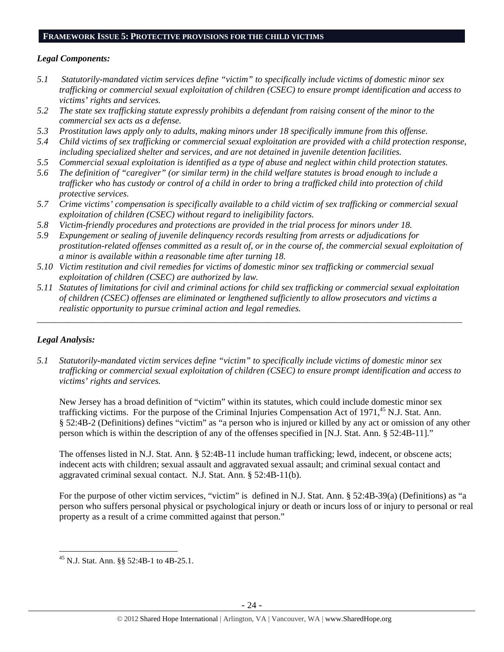# **FRAMEWORK ISSUE 5: PROTECTIVE PROVISIONS FOR THE CHILD VICTIMS**

### *Legal Components:*

- *5.1 Statutorily-mandated victim services define "victim" to specifically include victims of domestic minor sex trafficking or commercial sexual exploitation of children (CSEC) to ensure prompt identification and access to victims' rights and services.*
- *5.2 The state sex trafficking statute expressly prohibits a defendant from raising consent of the minor to the commercial sex acts as a defense.*
- *5.3 Prostitution laws apply only to adults, making minors under 18 specifically immune from this offense.*
- *5.4 Child victims of sex trafficking or commercial sexual exploitation are provided with a child protection response, including specialized shelter and services, and are not detained in juvenile detention facilities.*
- *5.5 Commercial sexual exploitation is identified as a type of abuse and neglect within child protection statutes.*
- *5.6 The definition of "caregiver" (or similar term) in the child welfare statutes is broad enough to include a trafficker who has custody or control of a child in order to bring a trafficked child into protection of child protective services.*
- *5.7 Crime victims' compensation is specifically available to a child victim of sex trafficking or commercial sexual exploitation of children (CSEC) without regard to ineligibility factors.*
- *5.8 Victim-friendly procedures and protections are provided in the trial process for minors under 18.*
- *5.9 Expungement or sealing of juvenile delinquency records resulting from arrests or adjudications for prostitution-related offenses committed as a result of, or in the course of, the commercial sexual exploitation of a minor is available within a reasonable time after turning 18.*
- *5.10 Victim restitution and civil remedies for victims of domestic minor sex trafficking or commercial sexual exploitation of children (CSEC) are authorized by law.*
- *5.11 Statutes of limitations for civil and criminal actions for child sex trafficking or commercial sexual exploitation of children (CSEC) offenses are eliminated or lengthened sufficiently to allow prosecutors and victims a realistic opportunity to pursue criminal action and legal remedies.*

*\_\_\_\_\_\_\_\_\_\_\_\_\_\_\_\_\_\_\_\_\_\_\_\_\_\_\_\_\_\_\_\_\_\_\_\_\_\_\_\_\_\_\_\_\_\_\_\_\_\_\_\_\_\_\_\_\_\_\_\_\_\_\_\_\_\_\_\_\_\_\_\_\_\_\_\_\_\_\_\_\_\_\_\_\_\_\_\_\_\_\_\_\_\_* 

# *Legal Analysis:*

*5.1 Statutorily-mandated victim services define "victim" to specifically include victims of domestic minor sex trafficking or commercial sexual exploitation of children (CSEC) to ensure prompt identification and access to victims' rights and services.* 

New Jersey has a broad definition of "victim" within its statutes, which could include domestic minor sex trafficking victims. For the purpose of the Criminal Injuries Compensation Act of  $1971<sup>45</sup>$  N.J. Stat. Ann. § 52:4B-2 (Definitions) defines "victim" as "a person who is injured or killed by any act or omission of any other person which is within the description of any of the offenses specified in [N.J. Stat. Ann. § 52:4B-11]."

The offenses listed in N.J. Stat. Ann. § 52:4B-11 include human trafficking; lewd, indecent, or obscene acts; indecent acts with children; sexual assault and aggravated sexual assault; and criminal sexual contact and aggravated criminal sexual contact. N.J. Stat. Ann. § 52:4B-11(b).

For the purpose of other victim services, "victim" is defined in N.J. Stat. Ann. § 52:4B-39(a) (Definitions) as "a person who suffers personal physical or psychological injury or death or incurs loss of or injury to personal or real property as a result of a crime committed against that person."

 $\overline{a}$ 45 N.J. Stat. Ann. §§ 52:4B-1 to 4B-25.1.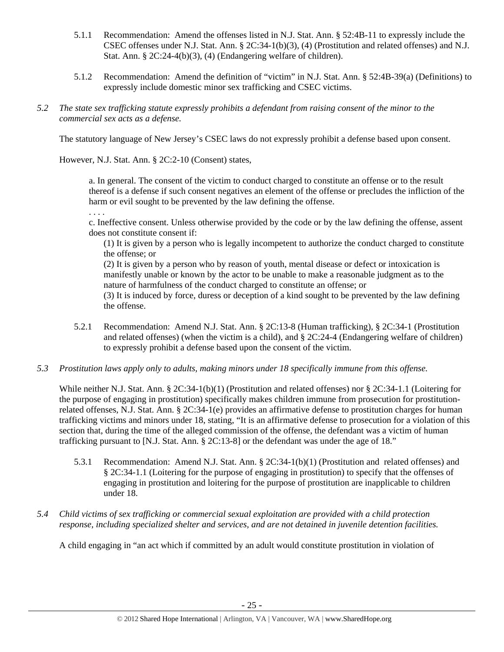- 5.1.1 Recommendation: Amend the offenses listed in N.J. Stat. Ann. § 52:4B-11 to expressly include the CSEC offenses under N.J. Stat. Ann. § 2C:34-1(b)(3), (4) (Prostitution and related offenses) and N.J. Stat. Ann. § 2C:24-4(b)(3), (4) (Endangering welfare of children).
- 5.1.2 Recommendation: Amend the definition of "victim" in N.J. Stat. Ann. § 52:4B-39(a) (Definitions) to expressly include domestic minor sex trafficking and CSEC victims.
- *5.2 The state sex trafficking statute expressly prohibits a defendant from raising consent of the minor to the commercial sex acts as a defense.*

The statutory language of New Jersey's CSEC laws do not expressly prohibit a defense based upon consent.

However, N.J. Stat. Ann. § 2C:2-10 (Consent) states,

a. In general. The consent of the victim to conduct charged to constitute an offense or to the result thereof is a defense if such consent negatives an element of the offense or precludes the infliction of the harm or evil sought to be prevented by the law defining the offense.

. . . .

c. Ineffective consent. Unless otherwise provided by the code or by the law defining the offense, assent does not constitute consent if:

(1) It is given by a person who is legally incompetent to authorize the conduct charged to constitute the offense; or

(2) It is given by a person who by reason of youth, mental disease or defect or intoxication is manifestly unable or known by the actor to be unable to make a reasonable judgment as to the nature of harmfulness of the conduct charged to constitute an offense; or

(3) It is induced by force, duress or deception of a kind sought to be prevented by the law defining the offense.

- 5.2.1 Recommendation: Amend N.J. Stat. Ann. § 2C:13-8 (Human trafficking), § 2C:34-1 (Prostitution and related offenses) (when the victim is a child), and  $\S 2C:24-4$  (Endangering welfare of children) to expressly prohibit a defense based upon the consent of the victim.
- *5.3 Prostitution laws apply only to adults, making minors under 18 specifically immune from this offense.*

While neither N.J. Stat. Ann. § 2C:34-1(b)(1) (Prostitution and related offenses) nor § 2C:34-1.1 (Loitering for the purpose of engaging in prostitution) specifically makes children immune from prosecution for prostitutionrelated offenses, N.J. Stat. Ann. § 2C:34-1(e) provides an affirmative defense to prostitution charges for human trafficking victims and minors under 18, stating, "It is an affirmative defense to prosecution for a violation of this section that, during the time of the alleged commission of the offense, the defendant was a victim of human trafficking pursuant to [N.J. Stat. Ann. § 2C:13-8] or the defendant was under the age of 18."

- 5.3.1 Recommendation: Amend N.J. Stat. Ann. § 2C:34-1(b)(1) (Prostitution and related offenses) and § 2C:34-1.1 (Loitering for the purpose of engaging in prostitution) to specify that the offenses of engaging in prostitution and loitering for the purpose of prostitution are inapplicable to children under 18.
- *5.4 Child victims of sex trafficking or commercial sexual exploitation are provided with a child protection response, including specialized shelter and services, and are not detained in juvenile detention facilities.*

A child engaging in "an act which if committed by an adult would constitute prostitution in violation of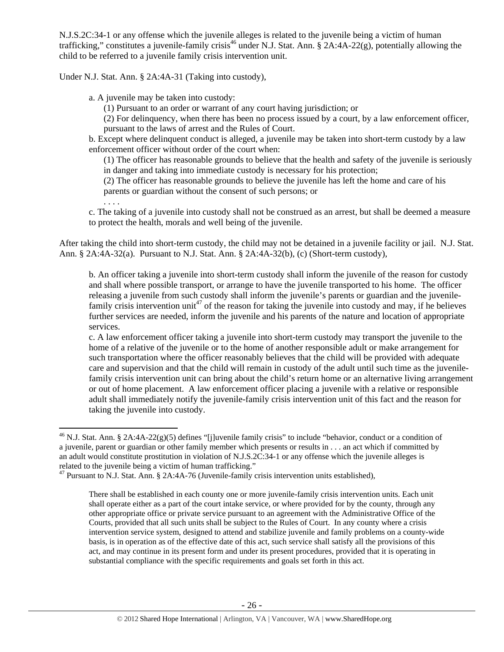N.J.S.2C:34-1 or any offense which the juvenile alleges is related to the juvenile being a victim of human trafficking," constitutes a juvenile-family crisis<sup>46</sup> under N.J. Stat. Ann. § 2A:4A-22(g), potentially allowing the child to be referred to a juvenile family crisis intervention unit.

Under N.J. Stat. Ann. § 2A:4A-31 (Taking into custody),

a. A juvenile may be taken into custody:

(1) Pursuant to an order or warrant of any court having jurisdiction; or

(2) For delinquency, when there has been no process issued by a court, by a law enforcement officer, pursuant to the laws of arrest and the Rules of Court.

b. Except where delinquent conduct is alleged, a juvenile may be taken into short-term custody by a law enforcement officer without order of the court when:

(1) The officer has reasonable grounds to believe that the health and safety of the juvenile is seriously in danger and taking into immediate custody is necessary for his protection;

(2) The officer has reasonable grounds to believe the juvenile has left the home and care of his parents or guardian without the consent of such persons; or

. . . .

 $\overline{a}$ 

c. The taking of a juvenile into custody shall not be construed as an arrest, but shall be deemed a measure to protect the health, morals and well being of the juvenile.

After taking the child into short-term custody, the child may not be detained in a juvenile facility or jail. N.J. Stat. Ann. § 2A:4A-32(a). Pursuant to N.J. Stat. Ann. § 2A:4A-32(b), (c) (Short-term custody),

b. An officer taking a juvenile into short-term custody shall inform the juvenile of the reason for custody and shall where possible transport, or arrange to have the juvenile transported to his home. The officer releasing a juvenile from such custody shall inform the juvenile's parents or guardian and the juvenilefamily crisis intervention unit<sup>47</sup> of the reason for taking the juvenile into custody and may, if he believes further services are needed, inform the juvenile and his parents of the nature and location of appropriate services.

c. A law enforcement officer taking a juvenile into short-term custody may transport the juvenile to the home of a relative of the juvenile or to the home of another responsible adult or make arrangement for such transportation where the officer reasonably believes that the child will be provided with adequate care and supervision and that the child will remain in custody of the adult until such time as the juvenilefamily crisis intervention unit can bring about the child's return home or an alternative living arrangement or out of home placement. A law enforcement officer placing a juvenile with a relative or responsible adult shall immediately notify the juvenile-family crisis intervention unit of this fact and the reason for taking the juvenile into custody.

<sup>&</sup>lt;sup>46</sup> N.J. Stat. Ann. § 2A:4A-22(g)(5) defines "[j]uvenile family crisis" to include "behavior, conduct or a condition of a juvenile, parent or guardian or other family member which presents or results in . . . an act which if committed by an adult would constitute prostitution in violation of N.J.S.2C:34-1 or any offense which the juvenile alleges is related to the juvenile being a victim of human trafficking."

 $47$  Pursuant to N.J. Stat. Ann. § 2A:4A-76 (Juvenile-family crisis intervention units established),

There shall be established in each county one or more juvenile-family crisis intervention units. Each unit shall operate either as a part of the court intake service, or where provided for by the county, through any other appropriate office or private service pursuant to an agreement with the Administrative Office of the Courts, provided that all such units shall be subject to the Rules of Court. In any county where a crisis intervention service system, designed to attend and stabilize juvenile and family problems on a county-wide basis, is in operation as of the effective date of this act, such service shall satisfy all the provisions of this act, and may continue in its present form and under its present procedures, provided that it is operating in substantial compliance with the specific requirements and goals set forth in this act.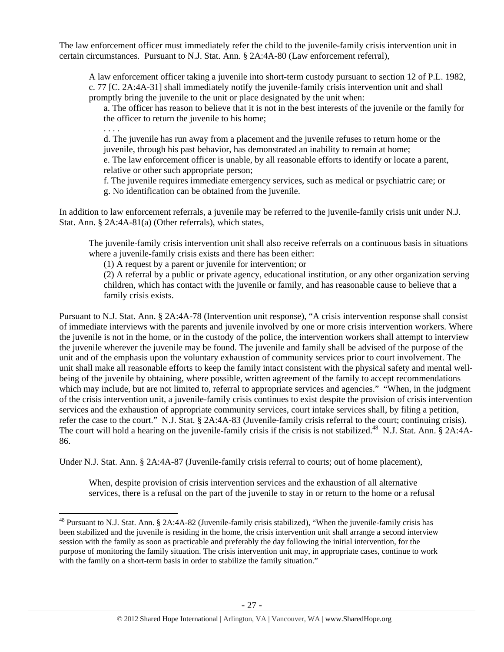The law enforcement officer must immediately refer the child to the juvenile-family crisis intervention unit in certain circumstances. Pursuant to N.J. Stat. Ann. § 2A:4A-80 (Law enforcement referral),

A law enforcement officer taking a juvenile into short-term custody pursuant to section 12 of P.L. 1982, c. 77 [C. 2A:4A-31] shall immediately notify the juvenile-family crisis intervention unit and shall promptly bring the juvenile to the unit or place designated by the unit when:

a. The officer has reason to believe that it is not in the best interests of the juvenile or the family for the officer to return the juvenile to his home;

. . . .

 $\overline{a}$ 

d. The juvenile has run away from a placement and the juvenile refuses to return home or the juvenile, through his past behavior, has demonstrated an inability to remain at home;

e. The law enforcement officer is unable, by all reasonable efforts to identify or locate a parent, relative or other such appropriate person;

f. The juvenile requires immediate emergency services, such as medical or psychiatric care; or g. No identification can be obtained from the juvenile.

In addition to law enforcement referrals, a juvenile may be referred to the juvenile-family crisis unit under N.J. Stat. Ann. § 2A:4A-81(a) (Other referrals), which states,

The juvenile-family crisis intervention unit shall also receive referrals on a continuous basis in situations where a juvenile-family crisis exists and there has been either:

(1) A request by a parent or juvenile for intervention; or

(2) A referral by a public or private agency, educational institution, or any other organization serving children, which has contact with the juvenile or family, and has reasonable cause to believe that a family crisis exists.

Pursuant to N.J. Stat. Ann. § 2A:4A-78 (Intervention unit response), "A crisis intervention response shall consist of immediate interviews with the parents and juvenile involved by one or more crisis intervention workers. Where the juvenile is not in the home, or in the custody of the police, the intervention workers shall attempt to interview the juvenile wherever the juvenile may be found. The juvenile and family shall be advised of the purpose of the unit and of the emphasis upon the voluntary exhaustion of community services prior to court involvement. The unit shall make all reasonable efforts to keep the family intact consistent with the physical safety and mental wellbeing of the juvenile by obtaining, where possible, written agreement of the family to accept recommendations which may include, but are not limited to, referral to appropriate services and agencies." "When, in the judgment of the crisis intervention unit, a juvenile-family crisis continues to exist despite the provision of crisis intervention services and the exhaustion of appropriate community services, court intake services shall, by filing a petition, refer the case to the court." N.J. Stat. § 2A:4A-83 (Juvenile-family crisis referral to the court; continuing crisis). The court will hold a hearing on the juvenile-family crisis if the crisis is not stabilized.<sup>48</sup> N.J. Stat. Ann. § 2A:4A-86.

Under N.J. Stat. Ann. § 2A:4A-87 (Juvenile-family crisis referral to courts; out of home placement),

When, despite provision of crisis intervention services and the exhaustion of all alternative services, there is a refusal on the part of the juvenile to stay in or return to the home or a refusal

<sup>&</sup>lt;sup>48</sup> Pursuant to N.J. Stat. Ann. § 2A:4A-82 (Juvenile-family crisis stabilized), "When the juvenile-family crisis has been stabilized and the juvenile is residing in the home, the crisis intervention unit shall arrange a second interview session with the family as soon as practicable and preferably the day following the initial intervention, for the purpose of monitoring the family situation. The crisis intervention unit may, in appropriate cases, continue to work with the family on a short-term basis in order to stabilize the family situation."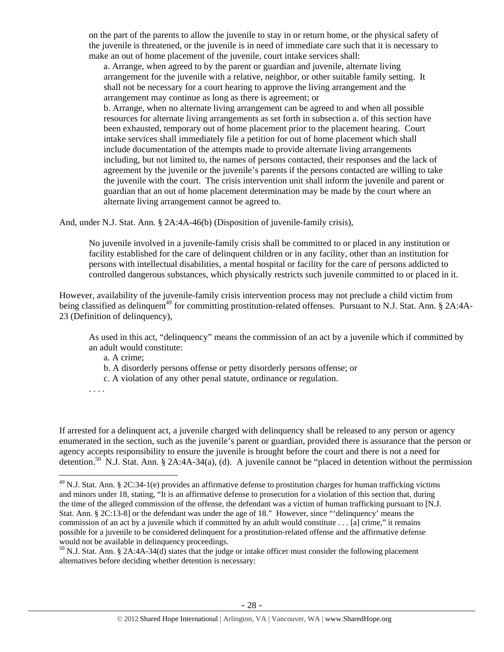on the part of the parents to allow the juvenile to stay in or return home, or the physical safety of the juvenile is threatened, or the juvenile is in need of immediate care such that it is necessary to make an out of home placement of the juvenile, court intake services shall:

a. Arrange, when agreed to by the parent or guardian and juvenile, alternate living arrangement for the juvenile with a relative, neighbor, or other suitable family setting. It shall not be necessary for a court hearing to approve the living arrangement and the arrangement may continue as long as there is agreement; or b. Arrange, when no alternate living arrangement can be agreed to and when all possible

resources for alternate living arrangements as set forth in subsection a. of this section have been exhausted, temporary out of home placement prior to the placement hearing. Court intake services shall immediately file a petition for out of home placement which shall include documentation of the attempts made to provide alternate living arrangements including, but not limited to, the names of persons contacted, their responses and the lack of agreement by the juvenile or the juvenile's parents if the persons contacted are willing to take the juvenile with the court. The crisis intervention unit shall inform the juvenile and parent or guardian that an out of home placement determination may be made by the court where an alternate living arrangement cannot be agreed to.

And, under N.J. Stat. Ann. § 2A:4A-46(b) (Disposition of juvenile-family crisis),

No juvenile involved in a juvenile-family crisis shall be committed to or placed in any institution or facility established for the care of delinquent children or in any facility, other than an institution for persons with intellectual disabilities, a mental hospital or facility for the care of persons addicted to controlled dangerous substances, which physically restricts such juvenile committed to or placed in it.

However, availability of the juvenile-family crisis intervention process may not preclude a child victim from being classified as delinquent<sup>49</sup> for committing prostitution-related offenses. Pursuant to N.J. Stat. Ann. § 2A:4A-23 (Definition of delinquency),

As used in this act, "delinquency" means the commission of an act by a juvenile which if committed by an adult would constitute:

a. A crime;

b. A disorderly persons offense or petty disorderly persons offense; or

- c. A violation of any other penal statute, ordinance or regulation.
- . . . .

 $\overline{a}$ 

If arrested for a delinquent act, a juvenile charged with delinquency shall be released to any person or agency enumerated in the section, such as the juvenile's parent or guardian, provided there is assurance that the person or agency accepts responsibility to ensure the juvenile is brought before the court and there is not a need for detention.<sup>50</sup> N.J. Stat. Ann. § 2A:4A-34(a), (d). A juvenile cannot be "placed in detention without the permission

 $^{49}$  N.J. Stat. Ann. § 2C:34-1(e) provides an affirmative defense to prostitution charges for human trafficking victims and minors under 18, stating, "It is an affirmative defense to prosecution for a violation of this section that, during the time of the alleged commission of the offense, the defendant was a victim of human trafficking pursuant to [N.J. Stat. Ann. § 2C:13-8] or the defendant was under the age of 18." However, since "'delinquency' means the commission of an act by a juvenile which if committed by an adult would constitute . . . [a] crime," it remains possible for a juvenile to be considered delinquent for a prostitution-related offense and the affirmative defense would not be available in delinquency proceedings.

<sup>50</sup> N.J. Stat. Ann. § 2A:4A-34(d) states that the judge or intake officer must consider the following placement alternatives before deciding whether detention is necessary: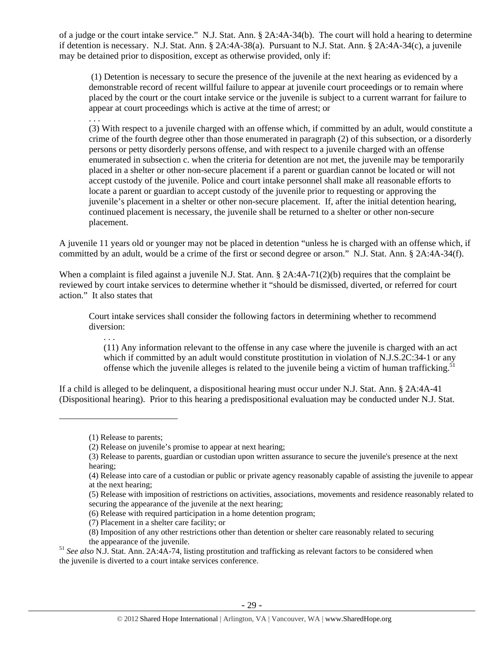of a judge or the court intake service." N.J. Stat. Ann. § 2A:4A-34(b). The court will hold a hearing to determine if detention is necessary. N.J. Stat. Ann. § 2A:4A-38(a). Pursuant to N.J. Stat. Ann. § 2A:4A-34(c), a juvenile may be detained prior to disposition, except as otherwise provided, only if:

 (1) Detention is necessary to secure the presence of the juvenile at the next hearing as evidenced by a demonstrable record of recent willful failure to appear at juvenile court proceedings or to remain where placed by the court or the court intake service or the juvenile is subject to a current warrant for failure to appear at court proceedings which is active at the time of arrest; or

. . .

(3) With respect to a juvenile charged with an offense which, if committed by an adult, would constitute a crime of the fourth degree other than those enumerated in paragraph (2) of this subsection, or a disorderly persons or petty disorderly persons offense, and with respect to a juvenile charged with an offense enumerated in subsection c. when the criteria for detention are not met, the juvenile may be temporarily placed in a shelter or other non-secure placement if a parent or guardian cannot be located or will not accept custody of the juvenile. Police and court intake personnel shall make all reasonable efforts to locate a parent or guardian to accept custody of the juvenile prior to requesting or approving the juvenile's placement in a shelter or other non-secure placement. If, after the initial detention hearing, continued placement is necessary, the juvenile shall be returned to a shelter or other non-secure placement.

A juvenile 11 years old or younger may not be placed in detention "unless he is charged with an offense which, if committed by an adult, would be a crime of the first or second degree or arson." N.J. Stat. Ann. § 2A:4A-34(f).

When a complaint is filed against a juvenile N.J. Stat. Ann. § 2A:4A-71(2)(b) requires that the complaint be reviewed by court intake services to determine whether it "should be dismissed, diverted, or referred for court action." It also states that

Court intake services shall consider the following factors in determining whether to recommend diversion:

. . . (11) Any information relevant to the offense in any case where the juvenile is charged with an act which if committed by an adult would constitute prostitution in violation of N.J.S.2C:34-1 or any offense which the juvenile alleges is related to the juvenile being a victim of human trafficking.<sup>51</sup>

If a child is alleged to be delinquent, a dispositional hearing must occur under N.J. Stat. Ann. § 2A:4A-41 (Dispositional hearing). Prior to this hearing a predispositional evaluation may be conducted under N.J. Stat.

 $\overline{a}$ 

<sup>(1)</sup> Release to parents;

<sup>(2)</sup> Release on juvenile's promise to appear at next hearing;

<sup>(3)</sup> Release to parents, guardian or custodian upon written assurance to secure the juvenile's presence at the next hearing;

<sup>(4)</sup> Release into care of a custodian or public or private agency reasonably capable of assisting the juvenile to appear at the next hearing;

<sup>(5)</sup> Release with imposition of restrictions on activities, associations, movements and residence reasonably related to securing the appearance of the juvenile at the next hearing;

<sup>(6)</sup> Release with required participation in a home detention program;

<sup>(7)</sup> Placement in a shelter care facility; or

<sup>(8)</sup> Imposition of any other restrictions other than detention or shelter care reasonably related to securing

the appearance of the juvenile. 51 *See also* N.J. Stat. Ann. 2A:4A-74, listing prostitution and trafficking as relevant factors to be considered when the juvenile is diverted to a court intake services conference.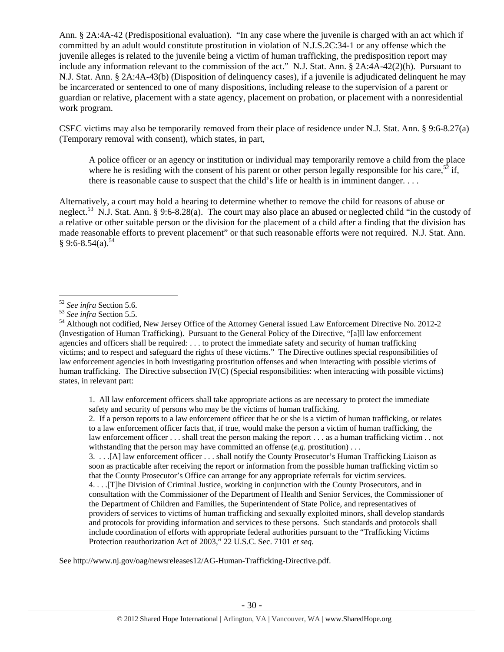Ann. § 2A:4A-42 (Predispositional evaluation). "In any case where the juvenile is charged with an act which if committed by an adult would constitute prostitution in violation of N.J.S.2C:34-1 or any offense which the juvenile alleges is related to the juvenile being a victim of human trafficking, the predisposition report may include any information relevant to the commission of the act." N.J. Stat. Ann. § 2A:4A-42(2)(h). Pursuant to N.J. Stat. Ann. § 2A:4A-43(b) (Disposition of delinquency cases), if a juvenile is adjudicated delinquent he may be incarcerated or sentenced to one of many dispositions, including release to the supervision of a parent or guardian or relative, placement with a state agency, placement on probation, or placement with a nonresidential work program.

CSEC victims may also be temporarily removed from their place of residence under N.J. Stat. Ann. § 9:6-8.27(a) (Temporary removal with consent), which states, in part,

A police officer or an agency or institution or individual may temporarily remove a child from the place where he is residing with the consent of his parent or other person legally responsible for his care,<sup>52</sup> if, there is reasonable cause to suspect that the child's life or health is in imminent danger. . . .

Alternatively, a court may hold a hearing to determine whether to remove the child for reasons of abuse or neglect.<sup>53</sup> N.J. Stat. Ann. § 9:6-8.28(a). The court may also place an abused or neglected child "in the custody of a relative or other suitable person or the division for the placement of a child after a finding that the division has made reasonable efforts to prevent placement" or that such reasonable efforts were not required. N.J. Stat. Ann.  $§ 9:6-8.54(a).^{54}$ 

1. All law enforcement officers shall take appropriate actions as are necessary to protect the immediate safety and security of persons who may be the victims of human trafficking.

2. If a person reports to a law enforcement officer that he or she is a victim of human trafficking, or relates to a law enforcement officer facts that, if true, would make the person a victim of human trafficking, the law enforcement officer . . . shall treat the person making the report . . . as a human trafficking victim . . not withstanding that the person may have committed an offense (*e.g.* prostitution) . . .

3. . . .[A] law enforcement officer . . . shall notify the County Prosecutor's Human Trafficking Liaison as soon as practicable after receiving the report or information from the possible human trafficking victim so that the County Prosecutor's Office can arrange for any appropriate referrals for victim services.

4. . . .[T]he Division of Criminal Justice, working in conjunction with the County Prosecutors, and in consultation with the Commissioner of the Department of Health and Senior Services, the Commissioner of the Department of Children and Families, the Superintendent of State Police, and representatives of providers of services to victims of human trafficking and sexually exploited minors, shall develop standards and protocols for providing information and services to these persons. Such standards and protocols shall include coordination of efforts with appropriate federal authorities pursuant to the "Trafficking Victims Protection reauthorization Act of 2003," 22 U.S.C. Sec. 7101 *et seq.*

See http://www.nj.gov/oag/newsreleases12/AG-Human-Trafficking-Directive.pdf.

 $52$  See infra Section 5.6.

<sup>52</sup> *See infra* Section 5.6. 53 *See infra* Section 5.5. 54 Although not codified, New Jersey Office of the Attorney General issued Law Enforcement Directive No. 2012-2 (Investigation of Human Trafficking). Pursuant to the General Policy of the Directive, "[a]ll law enforcement agencies and officers shall be required: . . . to protect the immediate safety and security of human trafficking victims; and to respect and safeguard the rights of these victims." The Directive outlines special responsibilities of law enforcement agencies in both investigating prostitution offenses and when interacting with possible victims of human trafficking. The Directive subsection IV(C) (Special responsibilities: when interacting with possible victims) states, in relevant part: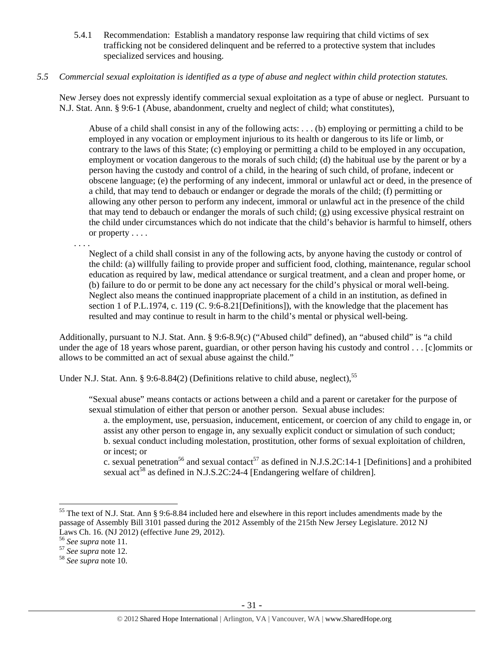5.4.1 Recommendation: Establish a mandatory response law requiring that child victims of sex trafficking not be considered delinquent and be referred to a protective system that includes specialized services and housing.

# *5.5 Commercial sexual exploitation is identified as a type of abuse and neglect within child protection statutes.*

New Jersey does not expressly identify commercial sexual exploitation as a type of abuse or neglect. Pursuant to N.J. Stat. Ann. § 9:6-1 (Abuse, abandonment, cruelty and neglect of child; what constitutes),

Abuse of a child shall consist in any of the following acts: . . . (b) employing or permitting a child to be employed in any vocation or employment injurious to its health or dangerous to its life or limb, or contrary to the laws of this State; (c) employing or permitting a child to be employed in any occupation, employment or vocation dangerous to the morals of such child; (d) the habitual use by the parent or by a person having the custody and control of a child, in the hearing of such child, of profane, indecent or obscene language; (e) the performing of any indecent, immoral or unlawful act or deed, in the presence of a child, that may tend to debauch or endanger or degrade the morals of the child; (f) permitting or allowing any other person to perform any indecent, immoral or unlawful act in the presence of the child that may tend to debauch or endanger the morals of such child; (g) using excessive physical restraint on the child under circumstances which do not indicate that the child's behavior is harmful to himself, others or property . . . .

. . . .

Neglect of a child shall consist in any of the following acts, by anyone having the custody or control of the child: (a) willfully failing to provide proper and sufficient food, clothing, maintenance, regular school education as required by law, medical attendance or surgical treatment, and a clean and proper home, or (b) failure to do or permit to be done any act necessary for the child's physical or moral well-being. Neglect also means the continued inappropriate placement of a child in an institution, as defined in section 1 of P.L.1974, c. 119 (C. 9:6-8.21[Definitions]), with the knowledge that the placement has resulted and may continue to result in harm to the child's mental or physical well-being.

Additionally, pursuant to N.J. Stat. Ann. § 9:6-8.9(c) ("Abused child" defined), an "abused child" is "a child under the age of 18 years whose parent, guardian, or other person having his custody and control . . . [c]ommits or allows to be committed an act of sexual abuse against the child."

Under N.J. Stat. Ann. § 9:6-8.84(2) (Definitions relative to child abuse, neglect),<sup>55</sup>

"Sexual abuse" means contacts or actions between a child and a parent or caretaker for the purpose of sexual stimulation of either that person or another person. Sexual abuse includes:

a. the employment, use, persuasion, inducement, enticement, or coercion of any child to engage in, or assist any other person to engage in, any sexually explicit conduct or simulation of such conduct; b. sexual conduct including molestation, prostitution, other forms of sexual exploitation of children, or incest; or

c. sexual penetration<sup>56</sup> and sexual contact<sup>57</sup> as defined in N.J.S.2C:14-1 [Definitions] and a prohibited sexual  $\arctan{58}$  as defined in N.J.S.2C:24-4 [Endangering welfare of children].

 $\overline{a}$ 

 $55$  The text of N.J. Stat. Ann § 9:6-8.84 included here and elsewhere in this report includes amendments made by the passage of Assembly Bill 3101 passed during the 2012 Assembly of the 215th New Jersey Legislature. 2012 NJ Laws Ch. 16. (NJ 2012) (effective June 29, 2012).

<sup>56</sup> *See supra* note 11. 57 *See supra* note 12. 58 *See supra* note 10.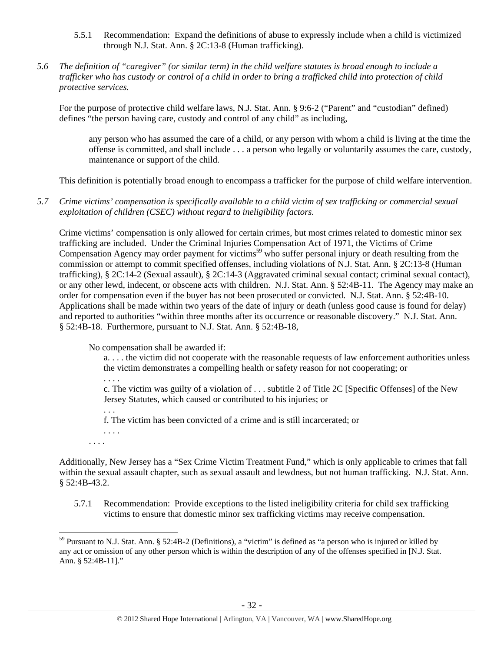- 5.5.1 Recommendation: Expand the definitions of abuse to expressly include when a child is victimized through N.J. Stat. Ann. § 2C:13-8 (Human trafficking).
- *5.6 The definition of "caregiver" (or similar term) in the child welfare statutes is broad enough to include a trafficker who has custody or control of a child in order to bring a trafficked child into protection of child protective services.*

For the purpose of protective child welfare laws, N.J. Stat. Ann. § 9:6-2 ("Parent" and "custodian" defined) defines "the person having care, custody and control of any child" as including,

any person who has assumed the care of a child, or any person with whom a child is living at the time the offense is committed, and shall include . . . a person who legally or voluntarily assumes the care, custody, maintenance or support of the child.

This definition is potentially broad enough to encompass a trafficker for the purpose of child welfare intervention.

*5.7 Crime victims' compensation is specifically available to a child victim of sex trafficking or commercial sexual exploitation of children (CSEC) without regard to ineligibility factors.* 

Crime victims' compensation is only allowed for certain crimes, but most crimes related to domestic minor sex trafficking are included. Under the Criminal Injuries Compensation Act of 1971, the Victims of Crime Compensation Agency may order payment for victims<sup>59</sup> who suffer personal injury or death resulting from the commission or attempt to commit specified offenses, including violations of N.J. Stat. Ann. § 2C:13-8 (Human trafficking), § 2C:14-2 (Sexual assault), § 2C:14-3 (Aggravated criminal sexual contact; criminal sexual contact), or any other lewd, indecent, or obscene acts with children. N.J. Stat. Ann. § 52:4B-11. The Agency may make an order for compensation even if the buyer has not been prosecuted or convicted. N.J. Stat. Ann. § 52:4B-10. Applications shall be made within two years of the date of injury or death (unless good cause is found for delay) and reported to authorities "within three months after its occurrence or reasonable discovery." N.J. Stat. Ann. § 52:4B-18. Furthermore, pursuant to N.J. Stat. Ann. § 52:4B-18,

No compensation shall be awarded if:

a. . . . the victim did not cooperate with the reasonable requests of law enforcement authorities unless the victim demonstrates a compelling health or safety reason for not cooperating; or

. . . .

c. The victim was guilty of a violation of . . . subtitle 2 of Title 2C [Specific Offenses] of the New Jersey Statutes, which caused or contributed to his injuries; or

. . . f. The victim has been convicted of a crime and is still incarcerated; or

. . . . . . . .

 $\overline{a}$ 

Additionally, New Jersey has a "Sex Crime Victim Treatment Fund," which is only applicable to crimes that fall within the sexual assault chapter, such as sexual assault and lewdness, but not human trafficking. N.J. Stat. Ann. § 52:4B-43.2.

5.7.1 Recommendation: Provide exceptions to the listed ineligibility criteria for child sex trafficking victims to ensure that domestic minor sex trafficking victims may receive compensation.

 $59$  Pursuant to N.J. Stat. Ann. § 52:4B-2 (Definitions), a "victim" is defined as "a person who is injured or killed by any act or omission of any other person which is within the description of any of the offenses specified in [N.J. Stat. Ann. § 52:4B-11]."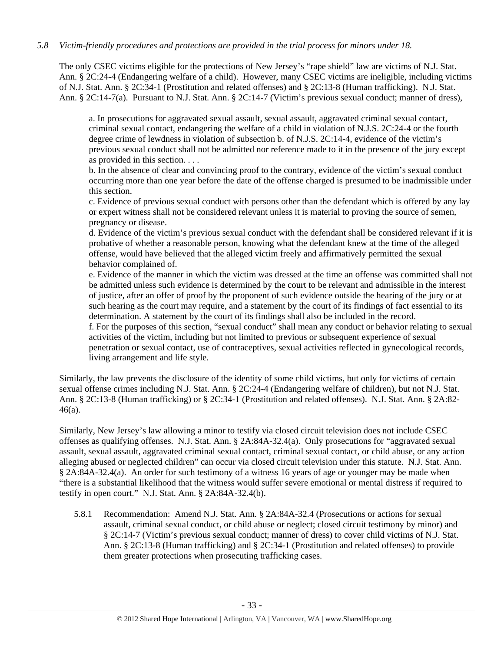# *5.8 Victim-friendly procedures and protections are provided in the trial process for minors under 18.*

The only CSEC victims eligible for the protections of New Jersey's "rape shield" law are victims of N.J. Stat. Ann. § 2C:24-4 (Endangering welfare of a child). However, many CSEC victims are ineligible, including victims of N.J. Stat. Ann. § 2C:34-1 (Prostitution and related offenses) and § 2C:13-8 (Human trafficking). N.J. Stat. Ann. § 2C:14-7(a). Pursuant to N.J. Stat. Ann. § 2C:14-7 (Victim's previous sexual conduct; manner of dress),

a. In prosecutions for aggravated sexual assault, sexual assault, aggravated criminal sexual contact, criminal sexual contact, endangering the welfare of a child in violation of N.J.S. 2C:24-4 or the fourth degree crime of lewdness in violation of subsection b. of N.J.S. 2C:14-4, evidence of the victim's previous sexual conduct shall not be admitted nor reference made to it in the presence of the jury except as provided in this section. . . .

b. In the absence of clear and convincing proof to the contrary, evidence of the victim's sexual conduct occurring more than one year before the date of the offense charged is presumed to be inadmissible under this section.

c. Evidence of previous sexual conduct with persons other than the defendant which is offered by any lay or expert witness shall not be considered relevant unless it is material to proving the source of semen, pregnancy or disease.

d. Evidence of the victim's previous sexual conduct with the defendant shall be considered relevant if it is probative of whether a reasonable person, knowing what the defendant knew at the time of the alleged offense, would have believed that the alleged victim freely and affirmatively permitted the sexual behavior complained of.

e. Evidence of the manner in which the victim was dressed at the time an offense was committed shall not be admitted unless such evidence is determined by the court to be relevant and admissible in the interest of justice, after an offer of proof by the proponent of such evidence outside the hearing of the jury or at such hearing as the court may require, and a statement by the court of its findings of fact essential to its determination. A statement by the court of its findings shall also be included in the record.

f. For the purposes of this section, "sexual conduct" shall mean any conduct or behavior relating to sexual activities of the victim, including but not limited to previous or subsequent experience of sexual penetration or sexual contact, use of contraceptives, sexual activities reflected in gynecological records, living arrangement and life style.

Similarly, the law prevents the disclosure of the identity of some child victims, but only for victims of certain sexual offense crimes including N.J. Stat. Ann. § 2C:24-4 (Endangering welfare of children), but not N.J. Stat. Ann. § 2C:13-8 (Human trafficking) or § 2C:34-1 (Prostitution and related offenses). N.J. Stat. Ann. § 2A:82- 46(a).

Similarly, New Jersey's law allowing a minor to testify via closed circuit television does not include CSEC offenses as qualifying offenses. N.J. Stat. Ann. § 2A:84A-32.4(a). Only prosecutions for "aggravated sexual assault, sexual assault, aggravated criminal sexual contact, criminal sexual contact, or child abuse, or any action alleging abused or neglected children" can occur via closed circuit television under this statute. N.J. Stat. Ann. § 2A:84A-32.4(a). An order for such testimony of a witness 16 years of age or younger may be made when "there is a substantial likelihood that the witness would suffer severe emotional or mental distress if required to testify in open court." N.J. Stat. Ann. § 2A:84A-32.4(b).

5.8.1 Recommendation: Amend N.J. Stat. Ann. § 2A:84A-32.4 (Prosecutions or actions for sexual assault, criminal sexual conduct, or child abuse or neglect; closed circuit testimony by minor) and § 2C:14-7 (Victim's previous sexual conduct; manner of dress) to cover child victims of N.J. Stat. Ann. § 2C:13-8 (Human trafficking) and § 2C:34-1 (Prostitution and related offenses) to provide them greater protections when prosecuting trafficking cases.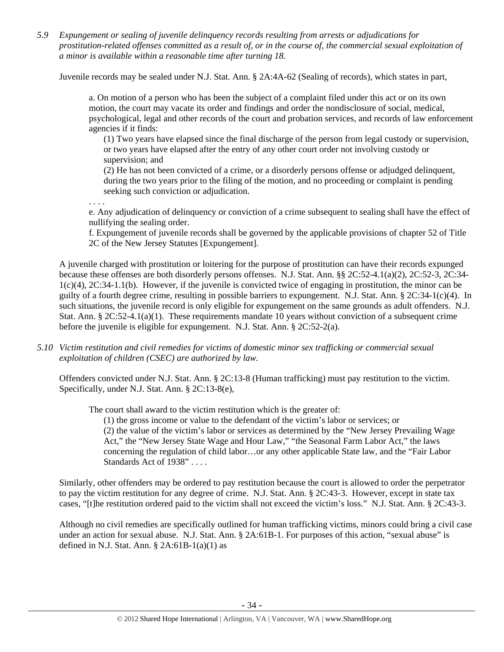*5.9 Expungement or sealing of juvenile delinquency records resulting from arrests or adjudications for prostitution-related offenses committed as a result of, or in the course of, the commercial sexual exploitation of a minor is available within a reasonable time after turning 18.* 

Juvenile records may be sealed under N.J. Stat. Ann. § 2A:4A-62 (Sealing of records), which states in part,

a. On motion of a person who has been the subject of a complaint filed under this act or on its own motion, the court may vacate its order and findings and order the nondisclosure of social, medical, psychological, legal and other records of the court and probation services, and records of law enforcement agencies if it finds:

(1) Two years have elapsed since the final discharge of the person from legal custody or supervision, or two years have elapsed after the entry of any other court order not involving custody or supervision; and

(2) He has not been convicted of a crime, or a disorderly persons offense or adjudged delinquent, during the two years prior to the filing of the motion, and no proceeding or complaint is pending seeking such conviction or adjudication.

. . . .

e. Any adjudication of delinquency or conviction of a crime subsequent to sealing shall have the effect of nullifying the sealing order.

f. Expungement of juvenile records shall be governed by the applicable provisions of chapter 52 of Title 2C of the New Jersey Statutes [Expungement].

A juvenile charged with prostitution or loitering for the purpose of prostitution can have their records expunged because these offenses are both disorderly persons offenses. N.J. Stat. Ann. §§ 2C:52-4.1(a)(2), 2C:52-3, 2C:34- 1(c)(4), 2C:34-1.1(b). However, if the juvenile is convicted twice of engaging in prostitution, the minor can be guilty of a fourth degree crime, resulting in possible barriers to expungement. N.J. Stat. Ann. § 2C:34-1(c)(4). In such situations, the juvenile record is only eligible for expungement on the same grounds as adult offenders. N.J. Stat. Ann. § 2C:52-4.1(a)(1). These requirements mandate 10 years without conviction of a subsequent crime before the juvenile is eligible for expungement. N.J. Stat. Ann. § 2C:52-2(a).

*5.10 Victim restitution and civil remedies for victims of domestic minor sex trafficking or commercial sexual exploitation of children (CSEC) are authorized by law.* 

Offenders convicted under N.J. Stat. Ann. § 2C:13-8 (Human trafficking) must pay restitution to the victim. Specifically, under N.J. Stat. Ann. § 2C:13-8(e),

The court shall award to the victim restitution which is the greater of:

(1) the gross income or value to the defendant of the victim's labor or services; or (2) the value of the victim's labor or services as determined by the "New Jersey Prevailing Wage Act," the "New Jersey State Wage and Hour Law," "the Seasonal Farm Labor Act," the laws concerning the regulation of child labor…or any other applicable State law, and the "Fair Labor Standards Act of 1938" ....

Similarly, other offenders may be ordered to pay restitution because the court is allowed to order the perpetrator to pay the victim restitution for any degree of crime. N.J. Stat. Ann. § 2C:43-3. However, except in state tax cases, "[t]he restitution ordered paid to the victim shall not exceed the victim's loss." N.J. Stat. Ann. § 2C:43-3.

Although no civil remedies are specifically outlined for human trafficking victims, minors could bring a civil case under an action for sexual abuse. N.J. Stat. Ann. § 2A:61B-1. For purposes of this action, "sexual abuse" is defined in N.J. Stat. Ann.  $\S$  2A:61B-1(a)(1) as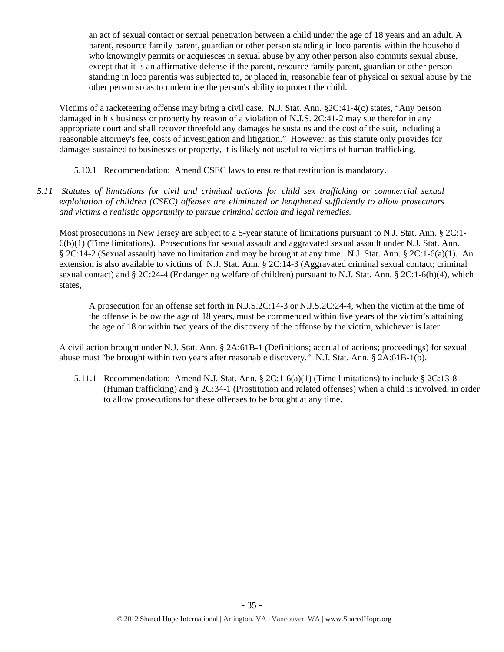an act of sexual contact or sexual penetration between a child under the age of 18 years and an adult. A parent, resource family parent, guardian or other person standing in loco parentis within the household who knowingly permits or acquiesces in sexual abuse by any other person also commits sexual abuse, except that it is an affirmative defense if the parent, resource family parent, guardian or other person standing in loco parentis was subjected to, or placed in, reasonable fear of physical or sexual abuse by the other person so as to undermine the person's ability to protect the child.

Victims of a racketeering offense may bring a civil case. N.J. Stat. Ann. §2C:41-4(c) states, "Any person damaged in his business or property by reason of a violation of N.J.S. 2C:41-2 may sue therefor in any appropriate court and shall recover threefold any damages he sustains and the cost of the suit, including a reasonable attorney's fee, costs of investigation and litigation." However, as this statute only provides for damages sustained to businesses or property, it is likely not useful to victims of human trafficking.

- 5.10.1 Recommendation: Amend CSEC laws to ensure that restitution is mandatory.
- *5.11 Statutes of limitations for civil and criminal actions for child sex trafficking or commercial sexual exploitation of children (CSEC) offenses are eliminated or lengthened sufficiently to allow prosecutors and victims a realistic opportunity to pursue criminal action and legal remedies.*

Most prosecutions in New Jersey are subject to a 5-year statute of limitations pursuant to N.J. Stat. Ann. § 2C:1- 6(b)(1) (Time limitations). Prosecutions for sexual assault and aggravated sexual assault under N.J. Stat. Ann. § 2C:14-2 (Sexual assault) have no limitation and may be brought at any time. N.J. Stat. Ann. § 2C:1-6(a)(1). An extension is also available to victims of N.J. Stat. Ann. § 2C:14-3 (Aggravated criminal sexual contact; criminal sexual contact) and § 2C:24-4 (Endangering welfare of children) pursuant to N.J. Stat. Ann. § 2C:1-6(b)(4), which states,

A prosecution for an offense set forth in N.J.S.2C:14-3 or N.J.S.2C:24-4, when the victim at the time of the offense is below the age of 18 years, must be commenced within five years of the victim's attaining the age of 18 or within two years of the discovery of the offense by the victim, whichever is later.

A civil action brought under N.J. Stat. Ann. § 2A:61B-1 (Definitions; accrual of actions; proceedings) for sexual abuse must "be brought within two years after reasonable discovery." N.J. Stat. Ann. § 2A:61B-1(b).

5.11.1 Recommendation: Amend N.J. Stat. Ann. § 2C:1-6(a)(1) (Time limitations) to include § 2C:13-8 (Human trafficking) and § 2C:34-1 (Prostitution and related offenses) when a child is involved, in order to allow prosecutions for these offenses to be brought at any time.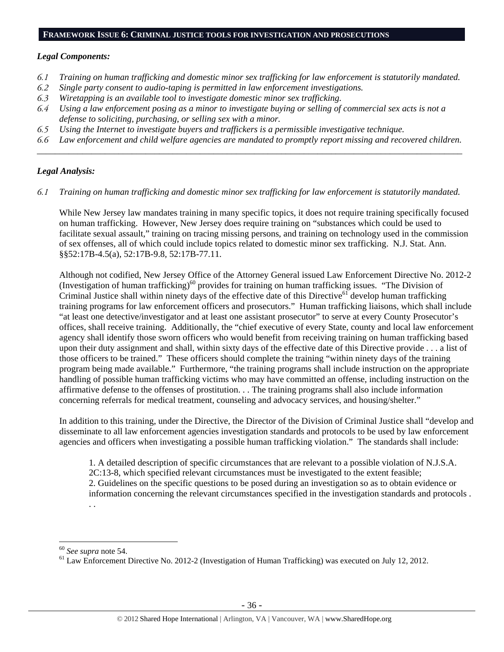#### **FRAMEWORK ISSUE 6: CRIMINAL JUSTICE TOOLS FOR INVESTIGATION AND PROSECUTIONS**

### *Legal Components:*

- *6.1 Training on human trafficking and domestic minor sex trafficking for law enforcement is statutorily mandated.*
- *6.2 Single party consent to audio-taping is permitted in law enforcement investigations.*
- *6.3 Wiretapping is an available tool to investigate domestic minor sex trafficking.*
- *6.4 Using a law enforcement posing as a minor to investigate buying or selling of commercial sex acts is not a defense to soliciting, purchasing, or selling sex with a minor.*
- *6.5 Using the Internet to investigate buyers and traffickers is a permissible investigative technique.*
- *6.6 Law enforcement and child welfare agencies are mandated to promptly report missing and recovered children. \_\_\_\_\_\_\_\_\_\_\_\_\_\_\_\_\_\_\_\_\_\_\_\_\_\_\_\_\_\_\_\_\_\_\_\_\_\_\_\_\_\_\_\_\_\_\_\_\_\_\_\_\_\_\_\_\_\_\_\_\_\_\_\_\_\_\_\_\_\_\_\_\_\_\_\_\_\_\_\_\_\_\_\_\_\_\_\_\_\_\_\_\_\_*

# *Legal Analysis:*

*6.1 Training on human trafficking and domestic minor sex trafficking for law enforcement is statutorily mandated.* 

While New Jersey law mandates training in many specific topics, it does not require training specifically focused on human trafficking. However, New Jersey does require training on "substances which could be used to facilitate sexual assault," training on tracing missing persons, and training on technology used in the commission of sex offenses, all of which could include topics related to domestic minor sex trafficking. N.J. Stat. Ann. §§52:17B-4.5(a), 52:17B-9.8, 52:17B-77.11.

Although not codified, New Jersey Office of the Attorney General issued Law Enforcement Directive No. 2012-2 (Investigation of human trafficking)<sup>60</sup> provides for training on human trafficking issues. "The Division of Criminal Justice shall within ninety days of the effective date of this Directive<sup>61</sup> develop human trafficking training programs for law enforcement officers and prosecutors." Human trafficking liaisons, which shall include "at least one detective/investigator and at least one assistant prosecutor" to serve at every County Prosecutor's offices, shall receive training. Additionally, the "chief executive of every State, county and local law enforcement agency shall identify those sworn officers who would benefit from receiving training on human trafficking based upon their duty assignment and shall, within sixty days of the effective date of this Directive provide . . . a list of those officers to be trained." These officers should complete the training "within ninety days of the training program being made available." Furthermore, "the training programs shall include instruction on the appropriate handling of possible human trafficking victims who may have committed an offense, including instruction on the affirmative defense to the offenses of prostitution. . . The training programs shall also include information concerning referrals for medical treatment, counseling and advocacy services, and housing/shelter."

In addition to this training, under the Directive, the Director of the Division of Criminal Justice shall "develop and disseminate to all law enforcement agencies investigation standards and protocols to be used by law enforcement agencies and officers when investigating a possible human trafficking violation." The standards shall include:

1. A detailed description of specific circumstances that are relevant to a possible violation of N.J.S.A. 2C:13-8, which specified relevant circumstances must be investigated to the extent feasible; 2. Guidelines on the specific questions to be posed during an investigation so as to obtain evidence or information concerning the relevant circumstances specified in the investigation standards and protocols . . .

 $\overline{a}$ 

<sup>&</sup>lt;sup>60</sup> See supra note 54.<br><sup>61</sup> Law Enforcement Directive No. 2012-2 (Investigation of Human Trafficking) was executed on July 12, 2012.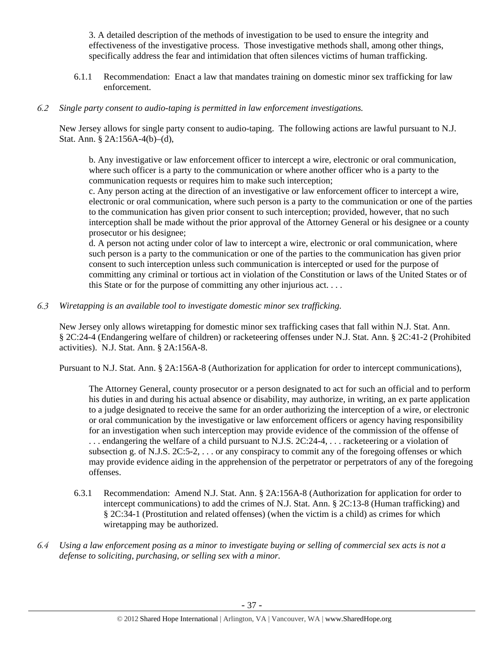3. A detailed description of the methods of investigation to be used to ensure the integrity and effectiveness of the investigative process. Those investigative methods shall, among other things, specifically address the fear and intimidation that often silences victims of human trafficking.

6.1.1 Recommendation: Enact a law that mandates training on domestic minor sex trafficking for law enforcement.

## *6.2 Single party consent to audio-taping is permitted in law enforcement investigations.*

New Jersey allows for single party consent to audio-taping. The following actions are lawful pursuant to N.J. Stat. Ann. § 2A:156A-4(b)–(d),

b. Any investigative or law enforcement officer to intercept a wire, electronic or oral communication, where such officer is a party to the communication or where another officer who is a party to the communication requests or requires him to make such interception;

c. Any person acting at the direction of an investigative or law enforcement officer to intercept a wire, electronic or oral communication, where such person is a party to the communication or one of the parties to the communication has given prior consent to such interception; provided, however, that no such interception shall be made without the prior approval of the Attorney General or his designee or a county prosecutor or his designee;

d. A person not acting under color of law to intercept a wire, electronic or oral communication, where such person is a party to the communication or one of the parties to the communication has given prior consent to such interception unless such communication is intercepted or used for the purpose of committing any criminal or tortious act in violation of the Constitution or laws of the United States or of this State or for the purpose of committing any other injurious act. . . .

# *6.3 Wiretapping is an available tool to investigate domestic minor sex trafficking.*

New Jersey only allows wiretapping for domestic minor sex trafficking cases that fall within N.J. Stat. Ann. § 2C:24-4 (Endangering welfare of children) or racketeering offenses under N.J. Stat. Ann. § 2C:41-2 (Prohibited activities). N.J. Stat. Ann. § 2A:156A-8.

Pursuant to N.J. Stat. Ann. § 2A:156A-8 (Authorization for application for order to intercept communications),

The Attorney General, county prosecutor or a person designated to act for such an official and to perform his duties in and during his actual absence or disability, may authorize, in writing, an ex parte application to a judge designated to receive the same for an order authorizing the interception of a wire, or electronic or oral communication by the investigative or law enforcement officers or agency having responsibility for an investigation when such interception may provide evidence of the commission of the offense of . . . endangering the welfare of a child pursuant to N.J.S. 2C:24-4, . . . racketeering or a violation of subsection g. of N.J.S. 2C:5-2, ... or any conspiracy to commit any of the foregoing offenses or which may provide evidence aiding in the apprehension of the perpetrator or perpetrators of any of the foregoing offenses.

- 6.3.1 Recommendation: Amend N.J. Stat. Ann. § 2A:156A-8 (Authorization for application for order to intercept communications) to add the crimes of N.J. Stat. Ann. § 2C:13-8 (Human trafficking) and § 2C:34-1 (Prostitution and related offenses) (when the victim is a child) as crimes for which wiretapping may be authorized.
- *6.4 Using a law enforcement posing as a minor to investigate buying or selling of commercial sex acts is not a defense to soliciting, purchasing, or selling sex with a minor.*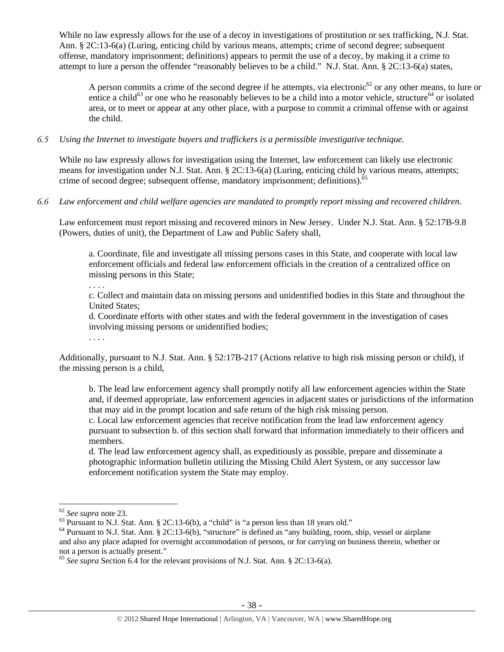While no law expressly allows for the use of a decoy in investigations of prostitution or sex trafficking, N.J. Stat. Ann. § 2C:13-6(a) (Luring, enticing child by various means, attempts; crime of second degree; subsequent offense, mandatory imprisonment; definitions) appears to permit the use of a decoy, by making it a crime to attempt to lure a person the offender "reasonably believes to be a child." N.J. Stat. Ann. § 2C:13-6(a) states,

A person commits a crime of the second degree if he attempts, via electronic<sup>62</sup> or any other means, to lure or entice a child<sup>63</sup> or one who he reasonably believes to be a child into a motor vehicle, structure<sup>64</sup> or isolated area, or to meet or appear at any other place, with a purpose to commit a criminal offense with or against the child.

*6.5 Using the Internet to investigate buyers and traffickers is a permissible investigative technique.* 

While no law expressly allows for investigation using the Internet, law enforcement can likely use electronic means for investigation under N.J. Stat. Ann. § 2C:13-6(a) (Luring, enticing child by various means, attempts; crime of second degree; subsequent offense, mandatory imprisonment; definitions).<sup>65</sup>

*6.6 Law enforcement and child welfare agencies are mandated to promptly report missing and recovered children.* 

Law enforcement must report missing and recovered minors in New Jersey. Under N.J. Stat. Ann. § 52:17B-9.8 (Powers, duties of unit), the Department of Law and Public Safety shall,

a. Coordinate, file and investigate all missing persons cases in this State, and cooperate with local law enforcement officials and federal law enforcement officials in the creation of a centralized office on missing persons in this State;

. . . .

c. Collect and maintain data on missing persons and unidentified bodies in this State and throughout the United States;

d. Coordinate efforts with other states and with the federal government in the investigation of cases involving missing persons or unidentified bodies;

. . . .

Additionally, pursuant to N.J. Stat. Ann. § 52:17B-217 (Actions relative to high risk missing person or child), if the missing person is a child,

b. The lead law enforcement agency shall promptly notify all law enforcement agencies within the State and, if deemed appropriate, law enforcement agencies in adjacent states or jurisdictions of the information that may aid in the prompt location and safe return of the high risk missing person.

c. Local law enforcement agencies that receive notification from the lead law enforcement agency pursuant to subsection b. of this section shall forward that information immediately to their officers and members.

d. The lead law enforcement agency shall, as expeditiously as possible, prepare and disseminate a photographic information bulletin utilizing the Missing Child Alert System, or any successor law enforcement notification system the State may employ.

 $\overline{a}$ 

 $62$  *See supra* note 23.<br><sup>63</sup> Pursuant to N.J. Stat. Ann. § 2C:13-6(b), a "child" is "a person less than 18 years old."

<sup>&</sup>lt;sup>64</sup> Pursuant to N.J. Stat. Ann. § 2C:13-6(b), "structure" is defined as "any building, room, ship, vessel or airplane and also any place adapted for overnight accommodation of persons, or for carrying on business therein, whether or not a person is actually present."

<sup>65</sup> *See supra* Section 6.4 for the relevant provisions of N.J. Stat. Ann. § 2C:13-6(a).